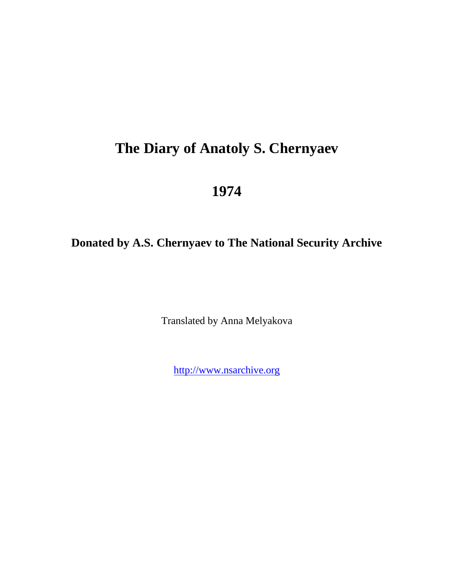# **The Diary of Anatoly S. Chernyaev**

## **1974**

## **Donated by A.S. Chernyaev to The National Security Archive**

Translated by Anna Melyakova

[http://www.nsarchive.org](http://www.nsarchive.org/)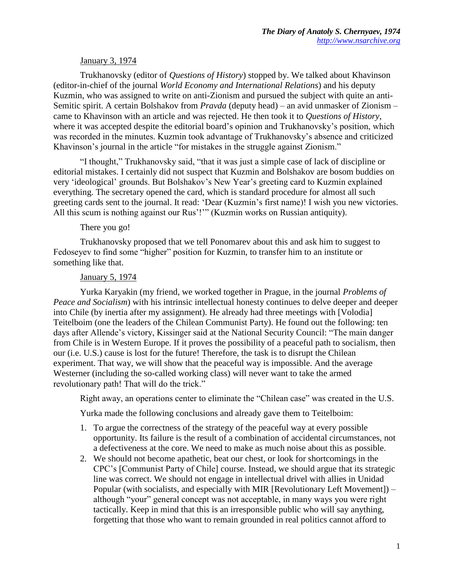## January 3, 1974

Trukhanovsky (editor of *Questions of History*) stopped by. We talked about Khavinson (editor-in-chief of the journal *World Economy and International Relations*) and his deputy Kuzmin, who was assigned to write on anti-Zionism and pursued the subject with quite an anti-Semitic spirit. A certain Bolshakov from *Pravda* (deputy head) – an avid unmasker of Zionism – came to Khavinson with an article and was rejected. He then took it to *Questions of History*, where it was accepted despite the editorial board's opinion and Trukhanovsky's position, which was recorded in the minutes. Kuzmin took advantage of Trukhanovsky's absence and criticized Khavinson's journal in the article "for mistakes in the struggle against Zionism."

"I thought," Trukhanovsky said, "that it was just a simple case of lack of discipline or editorial mistakes. I certainly did not suspect that Kuzmin and Bolshakov are bosom buddies on very 'ideological' grounds. But Bolshakov's New Year's greeting card to Kuzmin explained everything. The secretary opened the card, which is standard procedure for almost all such greeting cards sent to the journal. It read: 'Dear (Kuzmin's first name)! I wish you new victories. All this scum is nothing against our Rus'!"" (Kuzmin works on Russian antiquity).

#### There you go!

Trukhanovsky proposed that we tell Ponomarev about this and ask him to suggest to Fedoseyev to find some "higher" position for Kuzmin, to transfer him to an institute or something like that.

#### January 5, 1974

Yurka Karyakin (my friend, we worked together in Prague, in the journal *Problems of Peace and Socialism*) with his intrinsic intellectual honesty continues to delve deeper and deeper into Chile (by inertia after my assignment). He already had three meetings with [Volodia] Teitelboim (one the leaders of the Chilean Communist Party). He found out the following: ten days after Allende's victory, Kissinger said at the National Security Council: "The main danger from Chile is in Western Europe. If it proves the possibility of a peaceful path to socialism, then our (i.e. U.S.) cause is lost for the future! Therefore, the task is to disrupt the Chilean experiment. That way, we will show that the peaceful way is impossible. And the average Westerner (including the so-called working class) will never want to take the armed revolutionary path! That will do the trick."

Right away, an operations center to eliminate the "Chilean case" was created in the U.S.

Yurka made the following conclusions and already gave them to Teitelboim:

- 1. To argue the correctness of the strategy of the peaceful way at every possible opportunity. Its failure is the result of a combination of accidental circumstances, not a defectiveness at the core. We need to make as much noise about this as possible.
- 2. We should not become apathetic, beat our chest, or look for shortcomings in the CPC's [Communist Party of Chile] course. Instead, we should argue that its strategic line was correct. We should not engage in intellectual drivel with allies in Unidad Popular (with socialists, and especially with MIR [Revolutionary Left Movement]) – although "your" general concept was not acceptable, in many ways you were right tactically. Keep in mind that this is an irresponsible public who will say anything, forgetting that those who want to remain grounded in real politics cannot afford to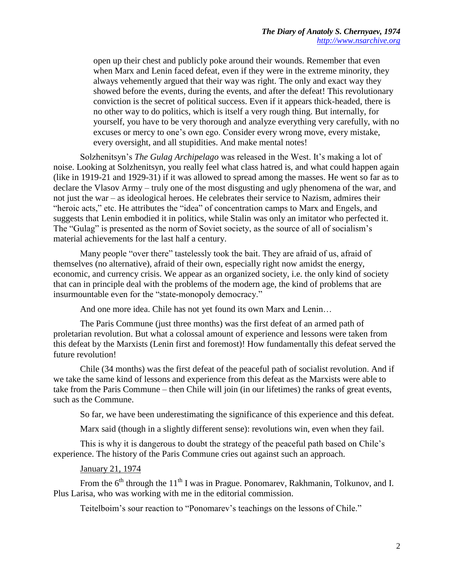open up their chest and publicly poke around their wounds. Remember that even when Marx and Lenin faced defeat, even if they were in the extreme minority, they always vehemently argued that their way was right. The only and exact way they showed before the events, during the events, and after the defeat! This revolutionary conviction is the secret of political success. Even if it appears thick-headed, there is no other way to do politics, which is itself a very rough thing. But internally, for yourself, you have to be very thorough and analyze everything very carefully, with no excuses or mercy to one's own ego. Consider every wrong move, every mistake, every oversight, and all stupidities. And make mental notes!

Solzhenitsyn's *The Gulag Archipelago* was released in the West. It's making a lot of noise. Looking at Solzhenitsyn, you really feel what class hatred is, and what could happen again (like in 1919-21 and 1929-31) if it was allowed to spread among the masses. He went so far as to declare the Vlasov Army – truly one of the most disgusting and ugly phenomena of the war, and not just the war – as ideological heroes. He celebrates their service to Nazism, admires their "heroic acts," etc. He attributes the "idea" of concentration camps to Marx and Engels, and suggests that Lenin embodied it in politics, while Stalin was only an imitator who perfected it. The "Gulag" is presented as the norm of Soviet society, as the source of all of socialism's material achievements for the last half a century.

Many people "over there" tastelessly took the bait. They are afraid of us, afraid of themselves (no alternative), afraid of their own, especially right now amidst the energy, economic, and currency crisis. We appear as an organized society, i.e. the only kind of society that can in principle deal with the problems of the modern age, the kind of problems that are insurmountable even for the "state-monopoly democracy."

And one more idea. Chile has not yet found its own Marx and Lenin…

The Paris Commune (just three months) was the first defeat of an armed path of proletarian revolution. But what a colossal amount of experience and lessons were taken from this defeat by the Marxists (Lenin first and foremost)! How fundamentally this defeat served the future revolution!

Chile (34 months) was the first defeat of the peaceful path of socialist revolution. And if we take the same kind of lessons and experience from this defeat as the Marxists were able to take from the Paris Commune – then Chile will join (in our lifetimes) the ranks of great events, such as the Commune.

So far, we have been underestimating the significance of this experience and this defeat.

Marx said (though in a slightly different sense): revolutions win, even when they fail.

This is why it is dangerous to doubt the strategy of the peaceful path based on Chile's experience. The history of the Paris Commune cries out against such an approach.

#### January 21, 1974

From the  $6<sup>th</sup>$  through the 11<sup>th</sup> I was in Prague. Ponomarev, Rakhmanin, Tolkunov, and I. Plus Larisa, who was working with me in the editorial commission.

Teitelboim's sour reaction to "Ponomarev's teachings on the lessons of Chile."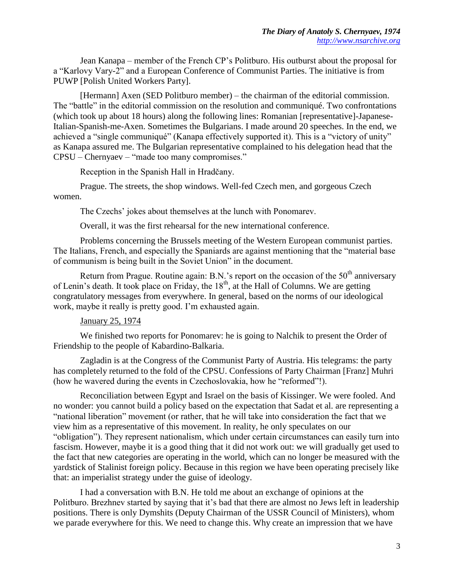Jean Kanapa – member of the French CP's Politburo. His outburst about the proposal for a "Karlovy Vary-2" and a European Conference of Communist Parties. The initiative is from PUWP [Polish United Workers Party].

[Hermann] Axen (SED Politburo member) – the chairman of the editorial commission. The "battle" in the editorial commission on the resolution and communiqué. Two confrontations (which took up about 18 hours) along the following lines: Romanian [representative]-Japanese-Italian-Spanish-me-Axen. Sometimes the Bulgarians. I made around 20 speeches. In the end, we achieved a "single communiqué" (Kanapa effectively supported it). This is a "victory of unity" as Kanapa assured me. The Bulgarian representative complained to his delegation head that the CPSU – Chernyaev – "made too many compromises."

Reception in the Spanish Hall in Hradčany.

Prague. The streets, the shop windows. Well-fed Czech men, and gorgeous Czech women.

The Czechs' jokes about themselves at the lunch with Ponomarev.

Overall, it was the first rehearsal for the new international conference.

Problems concerning the Brussels meeting of the Western European communist parties. The Italians, French, and especially the Spaniards are against mentioning that the "material base of communism is being built in the Soviet Union" in the document.

Return from Prague. Routine again: B.N.'s report on the occasion of the  $50<sup>th</sup>$  anniversary of Lenin's death. It took place on Friday, the 18<sup>th</sup>, at the Hall of Columns. We are getting congratulatory messages from everywhere. In general, based on the norms of our ideological work, maybe it really is pretty good. I'm exhausted again.

### January 25, 1974

We finished two reports for Ponomarev: he is going to Nalchik to present the Order of Friendship to the people of Kabardino-Balkaria.

Zagladin is at the Congress of the Communist Party of Austria. His telegrams: the party has completely returned to the fold of the CPSU. Confessions of Party Chairman [Franz] Muhri (how he wavered during the events in Czechoslovakia, how he "reformed"!).

Reconciliation between Egypt and Israel on the basis of Kissinger. We were fooled. And no wonder: you cannot build a policy based on the expectation that Sadat et al. are representing a "national liberation" movement (or rather, that he will take into consideration the fact that we view him as a representative of this movement. In reality, he only speculates on our "obligation"). They represent nationalism, which under certain circumstances can easily turn into fascism. However, maybe it is a good thing that it did not work out: we will gradually get used to the fact that new categories are operating in the world, which can no longer be measured with the yardstick of Stalinist foreign policy. Because in this region we have been operating precisely like that: an imperialist strategy under the guise of ideology.

I had a conversation with B.N. He told me about an exchange of opinions at the Politburo. Brezhnev started by saying that it's bad that there are almost no Jews left in leadership positions. There is only Dymshits (Deputy Chairman of the USSR Council of Ministers), whom we parade everywhere for this. We need to change this. Why create an impression that we have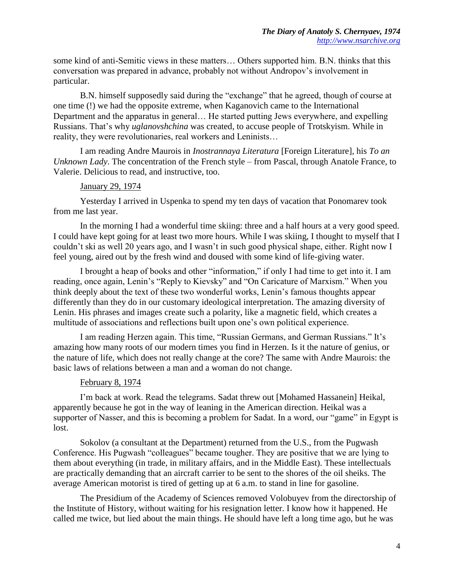some kind of anti-Semitic views in these matters… Others supported him. B.N. thinks that this conversation was prepared in advance, probably not without Andropov's involvement in particular.

B.N. himself supposedly said during the "exchange" that he agreed, though of course at one time (!) we had the opposite extreme, when Kaganovich came to the International Department and the apparatus in general… He started putting Jews everywhere, and expelling Russians. That's why *uglanovshchina* was created, to accuse people of Trotskyism. While in reality, they were revolutionaries, real workers and Leninists…

I am reading Andre Maurois in *Inostrannaya Literatura* [Foreign Literature], his *To an Unknown Lady*. The concentration of the French style – from Pascal, through Anatole France, to Valerie. Delicious to read, and instructive, too.

#### January 29, 1974

Yesterday I arrived in Uspenka to spend my ten days of vacation that Ponomarev took from me last year.

In the morning I had a wonderful time skiing: three and a half hours at a very good speed. I could have kept going for at least two more hours. While I was skiing, I thought to myself that I couldn't ski as well 20 years ago, and I wasn't in such good physical shape, either. Right now I feel young, aired out by the fresh wind and doused with some kind of life-giving water.

I brought a heap of books and other "information," if only I had time to get into it. I am reading, once again, Lenin's "Reply to Kievsky" and "On Caricature of Marxism." When you think deeply about the text of these two wonderful works, Lenin's famous thoughts appear differently than they do in our customary ideological interpretation. The amazing diversity of Lenin. His phrases and images create such a polarity, like a magnetic field, which creates a multitude of associations and reflections built upon one's own political experience.

I am reading Herzen again. This time, "Russian Germans, and German Russians." It's amazing how many roots of our modern times you find in Herzen. Is it the nature of genius, or the nature of life, which does not really change at the core? The same with Andre Maurois: the basic laws of relations between a man and a woman do not change.

#### February 8, 1974

I'm back at work. Read the telegrams. Sadat threw out [Mohamed Hassanein] Heikal, apparently because he got in the way of leaning in the American direction. Heikal was a supporter of Nasser, and this is becoming a problem for Sadat. In a word, our "game" in Egypt is lost.

Sokolov (a consultant at the Department) returned from the U.S., from the Pugwash Conference. His Pugwash "colleagues" became tougher. They are positive that we are lying to them about everything (in trade, in military affairs, and in the Middle East). These intellectuals are practically demanding that an aircraft carrier to be sent to the shores of the oil sheiks. The average American motorist is tired of getting up at 6 a.m. to stand in line for gasoline.

The Presidium of the Academy of Sciences removed Volobuyev from the directorship of the Institute of History, without waiting for his resignation letter. I know how it happened. He called me twice, but lied about the main things. He should have left a long time ago, but he was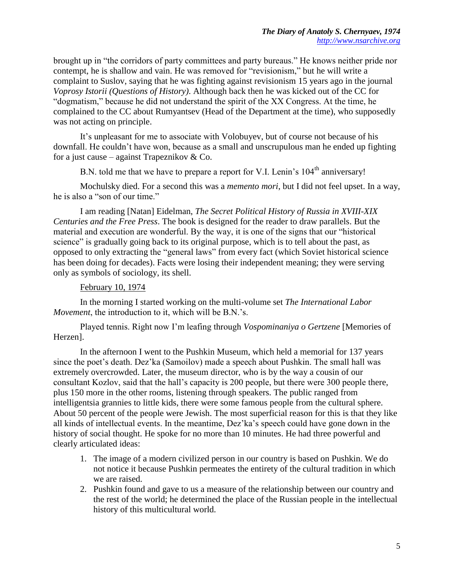brought up in "the corridors of party committees and party bureaus." He knows neither pride nor contempt, he is shallow and vain. He was removed for "revisionism," but he will write a complaint to Suslov, saying that he was fighting against revisionism 15 years ago in the journal *Voprosy Istorii (Questions of History)*. Although back then he was kicked out of the CC for "dogmatism," because he did not understand the spirit of the XX Congress. At the time, he complained to the CC about Rumyantsev (Head of the Department at the time), who supposedly was not acting on principle.

It's unpleasant for me to associate with Volobuyev, but of course not because of his downfall. He couldn't have won, because as a small and unscrupulous man he ended up fighting for a just cause – against Trapeznikov  $& Co.$ 

B.N. told me that we have to prepare a report for V.I. Lenin's 104<sup>th</sup> anniversary!

Mochulsky died. For a second this was a *memento mori*, but I did not feel upset. In a way, he is also a "son of our time."

I am reading [Natan] Eidelman, *The Secret Political History of Russia in XVIII-XIX Centuries and the Free Press*. The book is designed for the reader to draw parallels. But the material and execution are wonderful. By the way, it is one of the signs that our "historical science" is gradually going back to its original purpose, which is to tell about the past, as opposed to only extracting the "general laws" from every fact (which Soviet historical science has been doing for decades). Facts were losing their independent meaning; they were serving only as symbols of sociology, its shell.

## February 10, 1974

In the morning I started working on the multi-volume set *The International Labor Movement*, the introduction to it, which will be B.N.'s.

Played tennis. Right now I'm leafing through *Vospominaniya o Gertzene* [Memories of Herzen].

In the afternoon I went to the Pushkin Museum, which held a memorial for 137 years since the poet's death. Dez'ka (Samoilov) made a speech about Pushkin. The small hall was extremely overcrowded. Later, the museum director, who is by the way a cousin of our consultant Kozlov, said that the hall's capacity is 200 people, but there were 300 people there, plus 150 more in the other rooms, listening through speakers. The public ranged from intelligentsia grannies to little kids, there were some famous people from the cultural sphere. About 50 percent of the people were Jewish. The most superficial reason for this is that they like all kinds of intellectual events. In the meantime, Dez'ka's speech could have gone down in the history of social thought. He spoke for no more than 10 minutes. He had three powerful and clearly articulated ideas:

- 1. The image of a modern civilized person in our country is based on Pushkin. We do not notice it because Pushkin permeates the entirety of the cultural tradition in which we are raised.
- 2. Pushkin found and gave to us a measure of the relationship between our country and the rest of the world; he determined the place of the Russian people in the intellectual history of this multicultural world.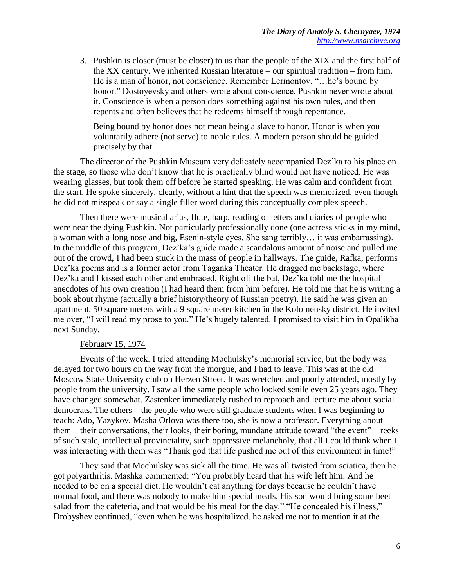3. Pushkin is closer (must be closer) to us than the people of the XIX and the first half of the XX century. We inherited Russian literature – our spiritual tradition – from him. He is a man of honor, not conscience. Remember Lermontov, "…he's bound by honor." Dostoyevsky and others wrote about conscience, Pushkin never wrote about it. Conscience is when a person does something against his own rules, and then repents and often believes that he redeems himself through repentance.

Being bound by honor does not mean being a slave to honor. Honor is when you voluntarily adhere (not serve) to noble rules. A modern person should be guided precisely by that.

The director of the Pushkin Museum very delicately accompanied Dez'ka to his place on the stage, so those who don't know that he is practically blind would not have noticed. He was wearing glasses, but took them off before he started speaking. He was calm and confident from the start. He spoke sincerely, clearly, without a hint that the speech was memorized, even though he did not misspeak or say a single filler word during this conceptually complex speech.

Then there were musical arias, flute, harp, reading of letters and diaries of people who were near the dying Pushkin. Not particularly professionally done (one actress sticks in my mind, a woman with a long nose and big, Esenin-style eyes. She sang terribly… it was embarrassing). In the middle of this program, Dez'ka's guide made a scandalous amount of noise and pulled me out of the crowd, I had been stuck in the mass of people in hallways. The guide, Rafka, performs Dez'ka poems and is a former actor from Taganka Theater. He dragged me backstage, where Dez'ka and I kissed each other and embraced. Right off the bat, Dez'ka told me the hospital anecdotes of his own creation (I had heard them from him before). He told me that he is writing a book about rhyme (actually a brief history/theory of Russian poetry). He said he was given an apartment, 50 square meters with a 9 square meter kitchen in the Kolomensky district. He invited me over, "I will read my prose to you." He's hugely talented. I promised to visit him in Opalikha next Sunday.

#### February 15, 1974

Events of the week. I tried attending Mochulsky's memorial service, but the body was delayed for two hours on the way from the morgue, and I had to leave. This was at the old Moscow State University club on Herzen Street. It was wretched and poorly attended, mostly by people from the university. I saw all the same people who looked senile even 25 years ago. They have changed somewhat. Zastenker immediately rushed to reproach and lecture me about social democrats. The others – the people who were still graduate students when I was beginning to teach: Ado, Yazykov. Masha Orlova was there too, she is now a professor. Everything about them – their conversations, their looks, their boring, mundane attitude toward "the event" – reeks of such stale, intellectual provinciality, such oppressive melancholy, that all I could think when I was interacting with them was "Thank god that life pushed me out of this environment in time!"

They said that Mochulsky was sick all the time. He was all twisted from sciatica, then he got polyarthritis. Mashka commented: "You probably heard that his wife left him. And he needed to be on a special diet. He wouldn't eat anything for days because he couldn't have normal food, and there was nobody to make him special meals. His son would bring some beet salad from the cafeteria, and that would be his meal for the day." "He concealed his illness," Drobyshev continued, "even when he was hospitalized, he asked me not to mention it at the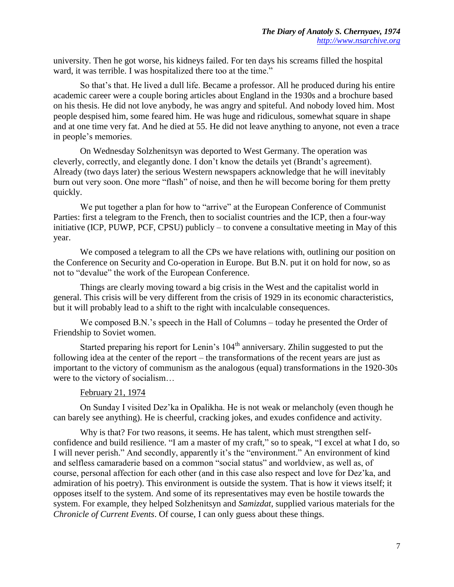university. Then he got worse, his kidneys failed. For ten days his screams filled the hospital ward, it was terrible. I was hospitalized there too at the time."

So that's that. He lived a dull life. Became a professor. All he produced during his entire academic career were a couple boring articles about England in the 1930s and a brochure based on his thesis. He did not love anybody, he was angry and spiteful. And nobody loved him. Most people despised him, some feared him. He was huge and ridiculous, somewhat square in shape and at one time very fat. And he died at 55. He did not leave anything to anyone, not even a trace in people's memories.

On Wednesday Solzhenitsyn was deported to West Germany. The operation was cleverly, correctly, and elegantly done. I don't know the details yet (Brandt's agreement). Already (two days later) the serious Western newspapers acknowledge that he will inevitably burn out very soon. One more "flash" of noise, and then he will become boring for them pretty quickly.

We put together a plan for how to "arrive" at the European Conference of Communist Parties: first a telegram to the French, then to socialist countries and the ICP, then a four-way initiative (ICP, PUWP, PCF, CPSU) publicly – to convene a consultative meeting in May of this year.

We composed a telegram to all the CPs we have relations with, outlining our position on the Conference on Security and Co-operation in Europe. But B.N. put it on hold for now, so as not to "devalue" the work of the European Conference.

Things are clearly moving toward a big crisis in the West and the capitalist world in general. This crisis will be very different from the crisis of 1929 in its economic characteristics, but it will probably lead to a shift to the right with incalculable consequences.

We composed B.N.'s speech in the Hall of Columns – today he presented the Order of Friendship to Soviet women.

Started preparing his report for Lenin's  $104<sup>th</sup>$  anniversary. Zhilin suggested to put the following idea at the center of the report – the transformations of the recent years are just as important to the victory of communism as the analogous (equal) transformations in the 1920-30s were to the victory of socialism…

## February 21, 1974

On Sunday I visited Dez'ka in Opalikha. He is not weak or melancholy (even though he can barely see anything). He is cheerful, cracking jokes, and exudes confidence and activity.

Why is that? For two reasons, it seems. He has talent, which must strengthen selfconfidence and build resilience. "I am a master of my craft," so to speak, "I excel at what I do, so I will never perish." And secondly, apparently it's the "environment." An environment of kind and selfless camaraderie based on a common "social status" and worldview, as well as, of course, personal affection for each other (and in this case also respect and love for Dez'ka, and admiration of his poetry). This environment is outside the system. That is how it views itself; it opposes itself to the system. And some of its representatives may even be hostile towards the system. For example, they helped Solzhenitsyn and *Samizdat*, supplied various materials for the *Chronicle of Current Events*. Of course, I can only guess about these things.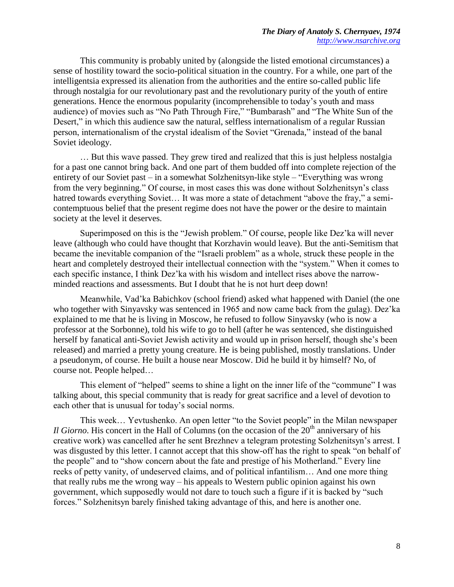This community is probably united by (alongside the listed emotional circumstances) a sense of hostility toward the socio-political situation in the country. For a while, one part of the intelligentsia expressed its alienation from the authorities and the entire so-called public life through nostalgia for our revolutionary past and the revolutionary purity of the youth of entire generations. Hence the enormous popularity (incomprehensible to today's youth and mass audience) of movies such as "No Path Through Fire," "Bumbarash" and "The White Sun of the Desert," in which this audience saw the natural, selfless internationalism of a regular Russian person, internationalism of the crystal idealism of the Soviet "Grenada," instead of the banal Soviet ideology.

… But this wave passed. They grew tired and realized that this is just helpless nostalgia for a past one cannot bring back. And one part of them budded off into complete rejection of the entirety of our Soviet past – in a somewhat Solzhenitsyn-like style – "Everything was wrong from the very beginning." Of course, in most cases this was done without Solzhenitsyn's class hatred towards everything Soviet... It was more a state of detachment "above the fray," a semicontemptuous belief that the present regime does not have the power or the desire to maintain society at the level it deserves.

Superimposed on this is the "Jewish problem." Of course, people like Dez'ka will never leave (although who could have thought that Korzhavin would leave). But the anti-Semitism that became the inevitable companion of the "Israeli problem" as a whole, struck these people in the heart and completely destroyed their intellectual connection with the "system." When it comes to each specific instance, I think Dez'ka with his wisdom and intellect rises above the narrowminded reactions and assessments. But I doubt that he is not hurt deep down!

Meanwhile, Vad'ka Babichkov (school friend) asked what happened with Daniel (the one who together with Sinyavsky was sentenced in 1965 and now came back from the gulag). Dez'ka explained to me that he is living in Moscow, he refused to follow Sinyavsky (who is now a professor at the Sorbonne), told his wife to go to hell (after he was sentenced, she distinguished herself by fanatical anti-Soviet Jewish activity and would up in prison herself, though she's been released) and married a pretty young creature. He is being published, mostly translations. Under a pseudonym, of course. He built a house near Moscow. Did he build it by himself? No, of course not. People helped…

This element of "helped" seems to shine a light on the inner life of the "commune" I was talking about, this special community that is ready for great sacrifice and a level of devotion to each other that is unusual for today's social norms.

This week… Yevtushenko. An open letter "to the Soviet people" in the Milan newspaper *Il Giorno*. His concert in the Hall of Columns (on the occasion of the 20<sup>th</sup> anniversary of his creative work) was cancelled after he sent Brezhnev a telegram protesting Solzhenitsyn's arrest. I was disgusted by this letter. I cannot accept that this show-off has the right to speak "on behalf of the people" and to "show concern about the fate and prestige of his Motherland." Every line reeks of petty vanity, of undeserved claims, and of political infantilism… And one more thing that really rubs me the wrong way – his appeals to Western public opinion against his own government, which supposedly would not dare to touch such a figure if it is backed by "such forces." Solzhenitsyn barely finished taking advantage of this, and here is another one.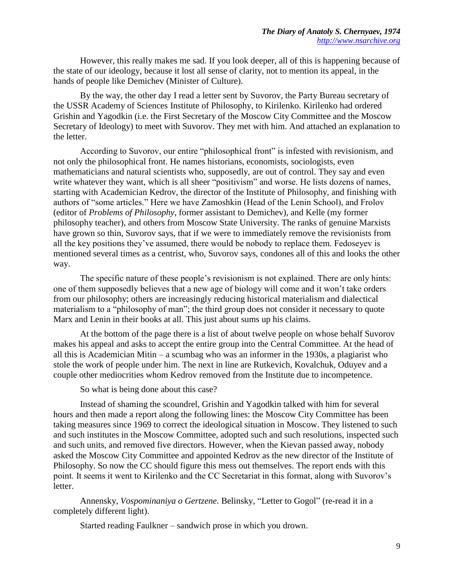However, this really makes me sad. If you look deeper, all of this is happening because of the state of our ideology, because it lost all sense of clarity, not to mention its appeal, in the hands of people like Demichev (Minister of Culture).

By the way, the other day I read a letter sent by Suvorov, the Party Bureau secretary of the USSR Academy of Sciences Institute of Philosophy, to Kirilenko. Kirilenko had ordered Grishin and Yagodkin (i.e. the First Secretary of the Moscow City Committee and the Moscow Secretary of Ideology) to meet with Suvorov. They met with him. And attached an explanation to the letter.

According to Suvorov, our entire "philosophical front" is infested with revisionism, and not only the philosophical front. He names historians, economists, sociologists, even mathematicians and natural scientists who, supposedly, are out of control. They say and even write whatever they want, which is all sheer "positivism" and worse. He lists dozens of names, starting with Academician Kedrov, the director of the Institute of Philosophy, and finishing with authors of "some articles." Here we have Zamoshkin (Head of the Lenin School), and Frolov (editor of *Problems of Philosophy*, former assistant to Demichev), and Kelle (my former philosophy teacher), and others from Moscow State University. The ranks of genuine Marxists have grown so thin, Suvorov says, that if we were to immediately remove the revisionists from all the key positions they've assumed, there would be nobody to replace them. Fedoseyev is mentioned several times as a centrist, who, Suvorov says, condones all of this and looks the other way.

The specific nature of these people's revisionism is not explained. There are only hints: one of them supposedly believes that a new age of biology will come and it won't take orders from our philosophy; others are increasingly reducing historical materialism and dialectical materialism to a "philosophy of man"; the third group does not consider it necessary to quote Marx and Lenin in their books at all. This just about sums up his claims.

At the bottom of the page there is a list of about twelve people on whose behalf Suvorov makes his appeal and asks to accept the entire group into the Central Committee. At the head of all this is Academician Mitin – a scumbag who was an informer in the 1930s, a plagiarist who stole the work of people under him. The next in line are Rutkevich, Kovalchuk, Oduyev and a couple other mediocrities whom Kedrov removed from the Institute due to incompetence.

So what is being done about this case?

Instead of shaming the scoundrel, Grishin and Yagodkin talked with him for several hours and then made a report along the following lines: the Moscow City Committee has been taking measures since 1969 to correct the ideological situation in Moscow. They listened to such and such institutes in the Moscow Committee, adopted such and such resolutions, inspected such and such units, and removed five directors. However, when the Kievan passed away, nobody asked the Moscow City Committee and appointed Kedrov as the new director of the Institute of Philosophy. So now the CC should figure this mess out themselves. The report ends with this point. It seems it went to Kirilenko and the CC Secretariat in this format, along with Suvorov's letter.

Annensky, *Vospominaniya o Gertzene*. Belinsky, "Letter to Gogol" (re-read it in a completely different light).

Started reading Faulkner – sandwich prose in which you drown.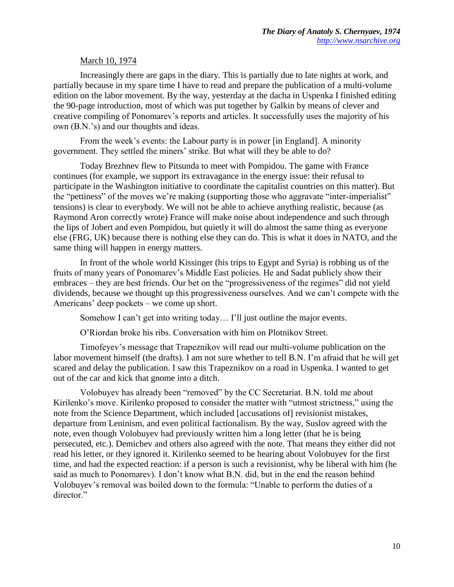## March 10, 1974

Increasingly there are gaps in the diary. This is partially due to late nights at work, and partially because in my spare time I have to read and prepare the publication of a multi-volume edition on the labor movement. By the way, yesterday at the dacha in Uspenka I finished editing the 90-page introduction, most of which was put together by Galkin by means of clever and creative compiling of Ponomarev's reports and articles. It successfully uses the majority of his own (B.N.'s) and our thoughts and ideas.

From the week's events: the Labour party is in power [in England]. A minority government. They settled the miners' strike. But what will they be able to do?

Today Brezhnev flew to Pitsunda to meet with Pompidou. The game with France continues (for example, we support its extravagance in the energy issue: their refusal to participate in the Washington initiative to coordinate the capitalist countries on this matter). But the "pettiness" of the moves we're making (supporting those who aggravate "inter-imperialist" tensions) is clear to everybody. We will not be able to achieve anything realistic, because (as Raymond Aron correctly wrote) France will make noise about independence and such through the lips of Jobert and even Pompidou, but quietly it will do almost the same thing as everyone else (FRG, UK) because there is nothing else they can do. This is what it does in NATO, and the same thing will happen in energy matters.

In front of the whole world Kissinger (his trips to Egypt and Syria) is robbing us of the fruits of many years of Ponomarev's Middle East policies. He and Sadat publicly show their embraces – they are best friends. Our bet on the "progressiveness of the regimes" did not yield dividends, because we thought up this progressiveness ourselves. And we can't compete with the Americans' deep pockets – we come up short.

Somehow I can't get into writing today... I'll just outline the major events.

O'Riordan broke his ribs. Conversation with him on Plotnikov Street.

Timofeyev's message that Trapeznikov will read our multi-volume publication on the labor movement himself (the drafts). I am not sure whether to tell B.N. I'm afraid that he will get scared and delay the publication. I saw this Trapeznikov on a road in Uspenka. I wanted to get out of the car and kick that gnome into a ditch.

Volobuyev has already been "removed" by the CC Secretariat. B.N. told me about Kirilenko's move. Kirilenko proposed to consider the matter with "utmost strictness," using the note from the Science Department, which included [accusations of] revisionist mistakes, departure from Leninism, and even political factionalism. By the way, Suslov agreed with the note, even though Volobuyev had previously written him a long letter (that he is being persecuted, etc.). Demichev and others also agreed with the note. That means they either did not read his letter, or they ignored it. Kirilenko seemed to be hearing about Volobuyev for the first time, and had the expected reaction: if a person is such a revisionist, why be liberal with him (he said as much to Ponomarev). I don't know what B.N. did, but in the end the reason behind Volobuyev's removal was boiled down to the formula: "Unable to perform the duties of a director."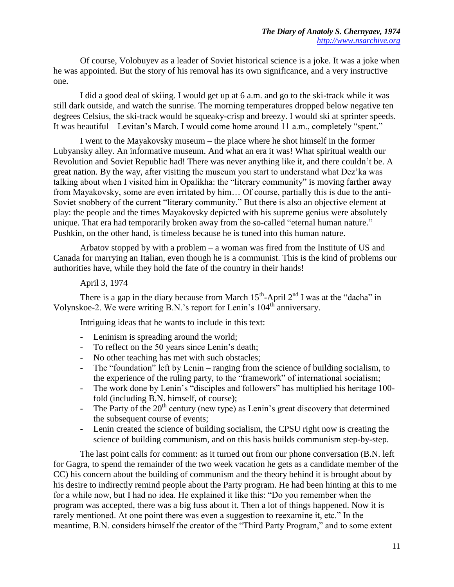Of course, Volobuyev as a leader of Soviet historical science is a joke. It was a joke when he was appointed. But the story of his removal has its own significance, and a very instructive one.

I did a good deal of skiing. I would get up at 6 a.m. and go to the ski-track while it was still dark outside, and watch the sunrise. The morning temperatures dropped below negative ten degrees Celsius, the ski-track would be squeaky-crisp and breezy. I would ski at sprinter speeds. It was beautiful – Levitan's March. I would come home around 11 a.m., completely "spent."

I went to the Mayakovsky museum – the place where he shot himself in the former Lubyansky alley. An informative museum. And what an era it was! What spiritual wealth our Revolution and Soviet Republic had! There was never anything like it, and there couldn't be. A great nation. By the way, after visiting the museum you start to understand what Dez'ka was talking about when I visited him in Opalikha: the "literary community" is moving farther away from Mayakovsky, some are even irritated by him… Of course, partially this is due to the anti-Soviet snobbery of the current "literary community." But there is also an objective element at play: the people and the times Mayakovsky depicted with his supreme genius were absolutely unique. That era had temporarily broken away from the so-called "eternal human nature." Pushkin, on the other hand, is timeless because he is tuned into this human nature.

Arbatov stopped by with a problem  $-$  a woman was fired from the Institute of US and Canada for marrying an Italian, even though he is a communist. This is the kind of problems our authorities have, while they hold the fate of the country in their hands!

## April 3, 1974

There is a gap in the diary because from March  $15^{th}$ -April  $2^{nd}$  I was at the "dacha" in Volynskoe-2. We were writing B.N.'s report for Lenin's  $104<sup>th</sup>$  anniversary.

Intriguing ideas that he wants to include in this text:

- Leninism is spreading around the world;
- To reflect on the 50 years since Lenin's death;
- No other teaching has met with such obstacles;
- The "foundation" left by Lenin ranging from the science of building socialism, to the experience of the ruling party, to the "framework" of international socialism;
- The work done by Lenin's "disciples and followers" has multiplied his heritage 100 fold (including B.N. himself, of course);
- The Party of the  $20<sup>th</sup>$  century (new type) as Lenin's great discovery that determined the subsequent course of events;
- Lenin created the science of building socialism, the CPSU right now is creating the science of building communism, and on this basis builds communism step-by-step.

The last point calls for comment: as it turned out from our phone conversation (B.N. left for Gagra, to spend the remainder of the two week vacation he gets as a candidate member of the CC) his concern about the building of communism and the theory behind it is brought about by his desire to indirectly remind people about the Party program. He had been hinting at this to me for a while now, but I had no idea. He explained it like this: "Do you remember when the program was accepted, there was a big fuss about it. Then a lot of things happened. Now it is rarely mentioned. At one point there was even a suggestion to reexamine it, etc." In the meantime, B.N. considers himself the creator of the "Third Party Program," and to some extent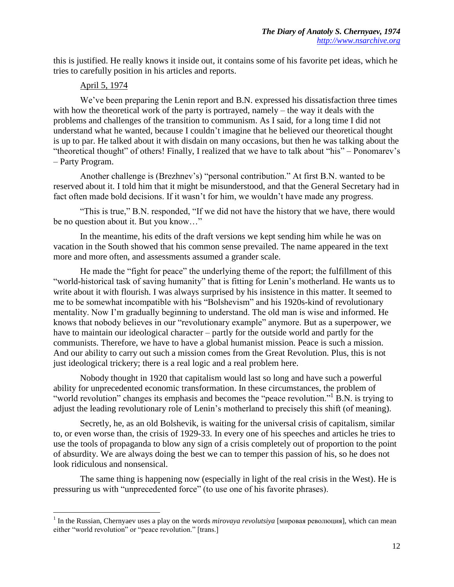this is justified. He really knows it inside out, it contains some of his favorite pet ideas, which he tries to carefully position in his articles and reports.

## April 5, 1974

 $\overline{\phantom{a}}$ 

We've been preparing the Lenin report and B.N. expressed his dissatisfaction three times with how the theoretical work of the party is portrayed, namely – the way it deals with the problems and challenges of the transition to communism. As I said, for a long time I did not understand what he wanted, because I couldn't imagine that he believed our theoretical thought is up to par. He talked about it with disdain on many occasions, but then he was talking about the "theoretical thought" of others! Finally, I realized that we have to talk about "his" – Ponomarev's – Party Program.

Another challenge is (Brezhnev's) "personal contribution." At first B.N. wanted to be reserved about it. I told him that it might be misunderstood, and that the General Secretary had in fact often made bold decisions. If it wasn't for him, we wouldn't have made any progress.

"This is true," B.N. responded, "If we did not have the history that we have, there would be no question about it. But you know…"

In the meantime, his edits of the draft versions we kept sending him while he was on vacation in the South showed that his common sense prevailed. The name appeared in the text more and more often, and assessments assumed a grander scale.

He made the "fight for peace" the underlying theme of the report; the fulfillment of this "world-historical task of saving humanity" that is fitting for Lenin's motherland. He wants us to write about it with flourish. I was always surprised by his insistence in this matter. It seemed to me to be somewhat incompatible with his "Bolshevism" and his 1920s-kind of revolutionary mentality. Now I'm gradually beginning to understand. The old man is wise and informed. He knows that nobody believes in our "revolutionary example" anymore. But as a superpower, we have to maintain our ideological character – partly for the outside world and partly for the communists. Therefore, we have to have a global humanist mission. Peace is such a mission. And our ability to carry out such a mission comes from the Great Revolution. Plus, this is not just ideological trickery; there is a real logic and a real problem here.

Nobody thought in 1920 that capitalism would last so long and have such a powerful ability for unprecedented economic transformation. In these circumstances, the problem of "world revolution" changes its emphasis and becomes the "peace revolution."<sup>1</sup> B.N. is trying to adjust the leading revolutionary role of Lenin's motherland to precisely this shift (of meaning).

Secretly, he, as an old Bolshevik, is waiting for the universal crisis of capitalism, similar to, or even worse than, the crisis of 1929-33. In every one of his speeches and articles he tries to use the tools of propaganda to blow any sign of a crisis completely out of proportion to the point of absurdity. We are always doing the best we can to temper this passion of his, so he does not look ridiculous and nonsensical.

The same thing is happening now (especially in light of the real crisis in the West). He is pressuring us with "unprecedented force" (to use one of his favorite phrases).

<sup>&</sup>lt;sup>1</sup> In the Russian, Chernyaev uses a play on the words *mirovaya revolutsiya* [мировая революция], which can mean either "world revolution" or "peace revolution." [trans.]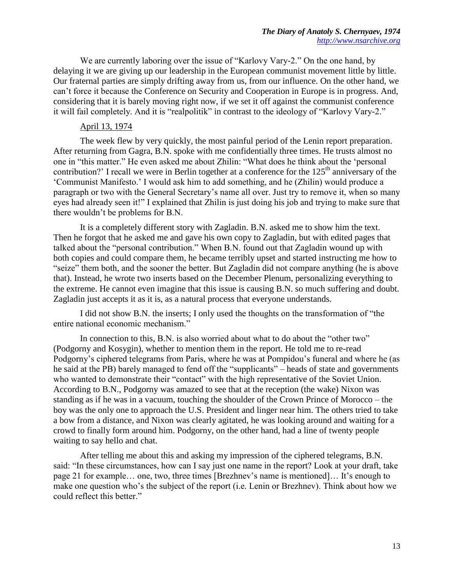We are currently laboring over the issue of "Karlovy Vary-2." On the one hand, by delaying it we are giving up our leadership in the European communist movement little by little. Our fraternal parties are simply drifting away from us, from our influence. On the other hand, we can't force it because the Conference on Security and Cooperation in Europe is in progress. And, considering that it is barely moving right now, if we set it off against the communist conference it will fail completely. And it is "realpolitik" in contrast to the ideology of "Karlovy Vary-2."

#### April 13, 1974

The week flew by very quickly, the most painful period of the Lenin report preparation. After returning from Gagra, B.N. spoke with me confidentially three times. He trusts almost no one in "this matter." He even asked me about Zhilin: "What does he think about the 'personal contribution?' I recall we were in Berlin together at a conference for the  $125<sup>th</sup>$  anniversary of the 'Communist Manifesto.' I would ask him to add something, and he (Zhilin) would produce a paragraph or two with the General Secretary's name all over. Just try to remove it, when so many eyes had already seen it!" I explained that Zhilin is just doing his job and trying to make sure that there wouldn't be problems for B.N.

It is a completely different story with Zagladin. B.N. asked me to show him the text. Then he forgot that he asked me and gave his own copy to Zagladin, but with edited pages that talked about the "personal contribution." When B.N. found out that Zagladin wound up with both copies and could compare them, he became terribly upset and started instructing me how to "seize" them both, and the sooner the better. But Zagladin did not compare anything (he is above that). Instead, he wrote two inserts based on the December Plenum, personalizing everything to the extreme. He cannot even imagine that this issue is causing B.N. so much suffering and doubt. Zagladin just accepts it as it is, as a natural process that everyone understands.

I did not show B.N. the inserts; I only used the thoughts on the transformation of "the entire national economic mechanism."

In connection to this, B.N. is also worried about what to do about the "other two" (Podgorny and Kosygin), whether to mention them in the report. He told me to re-read Podgorny's ciphered telegrams from Paris, where he was at Pompidou's funeral and where he (as he said at the PB) barely managed to fend off the "supplicants" – heads of state and governments who wanted to demonstrate their "contact" with the high representative of the Soviet Union. According to B.N., Podgorny was amazed to see that at the reception (the wake) Nixon was standing as if he was in a vacuum, touching the shoulder of the Crown Prince of Morocco – the boy was the only one to approach the U.S. President and linger near him. The others tried to take a bow from a distance, and Nixon was clearly agitated, he was looking around and waiting for a crowd to finally form around him. Podgorny, on the other hand, had a line of twenty people waiting to say hello and chat.

After telling me about this and asking my impression of the ciphered telegrams, B.N. said: "In these circumstances, how can I say just one name in the report? Look at your draft, take page 21 for example… one, two, three times [Brezhnev's name is mentioned]… It's enough to make one question who's the subject of the report (i.e. Lenin or Brezhnev). Think about how we could reflect this better."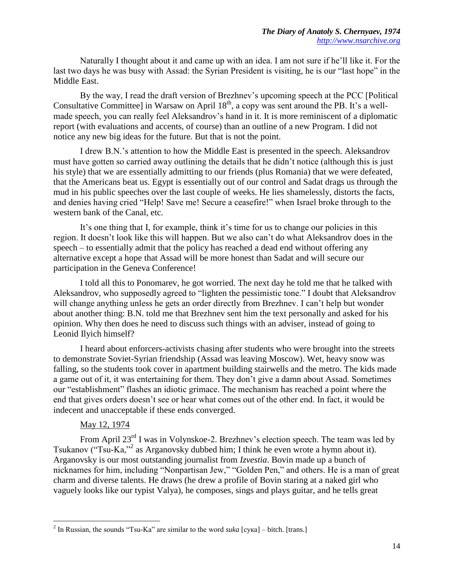Naturally I thought about it and came up with an idea. I am not sure if he'll like it. For the last two days he was busy with Assad: the Syrian President is visiting, he is our "last hope" in the Middle East.

By the way, I read the draft version of Brezhnev's upcoming speech at the PCC [Political Consultative Committee] in Warsaw on April 18<sup>th</sup>, a copy was sent around the PB. It's a wellmade speech, you can really feel Aleksandrov's hand in it. It is more reminiscent of a diplomatic report (with evaluations and accents, of course) than an outline of a new Program. I did not notice any new big ideas for the future. But that is not the point.

I drew B.N.'s attention to how the Middle East is presented in the speech. Aleksandrov must have gotten so carried away outlining the details that he didn't notice (although this is just his style) that we are essentially admitting to our friends (plus Romania) that we were defeated, that the Americans beat us. Egypt is essentially out of our control and Sadat drags us through the mud in his public speeches over the last couple of weeks. He lies shamelessly, distorts the facts, and denies having cried "Help! Save me! Secure a ceasefire!" when Israel broke through to the western bank of the Canal, etc.

It's one thing that I, for example, think it's time for us to change our policies in this region. It doesn't look like this will happen. But we also can't do what Aleksandrov does in the speech – to essentially admit that the policy has reached a dead end without offering any alternative except a hope that Assad will be more honest than Sadat and will secure our participation in the Geneva Conference!

I told all this to Ponomarev, he got worried. The next day he told me that he talked with Aleksandrov, who supposedly agreed to "lighten the pessimistic tone." I doubt that Aleksandrov will change anything unless he gets an order directly from Brezhnev. I can't help but wonder about another thing: B.N. told me that Brezhnev sent him the text personally and asked for his opinion. Why then does he need to discuss such things with an adviser, instead of going to Leonid Ilyich himself?

I heard about enforcers-activists chasing after students who were brought into the streets to demonstrate Soviet-Syrian friendship (Assad was leaving Moscow). Wet, heavy snow was falling, so the students took cover in apartment building stairwells and the metro. The kids made a game out of it, it was entertaining for them. They don't give a damn about Assad. Sometimes our "establishment" flashes an idiotic grimace. The mechanism has reached a point where the end that gives orders doesn't see or hear what comes out of the other end. In fact, it would be indecent and unacceptable if these ends converged.

## May 12, 1974

 $\overline{\phantom{a}}$ 

From April 23<sup>rd</sup> I was in Volynskoe-2. Brezhnev's election speech. The team was led by Tsukanov ("Tsu-Ka,"<sup>2</sup> as Arganovsky dubbed him; I think he even wrote a hymn about it). Arganovsky is our most outstanding journalist from *Izvestia*. Bovin made up a bunch of nicknames for him, including "Nonpartisan Jew," "Golden Pen," and others. He is a man of great charm and diverse talents. He draws (he drew a profile of Bovin staring at a naked girl who vaguely looks like our typist Valya), he composes, sings and plays guitar, and he tells great

<sup>2</sup> In Russian, the sounds "Tsu-Ka" are similar to the word *suka* [сука] – bitch. [trans.]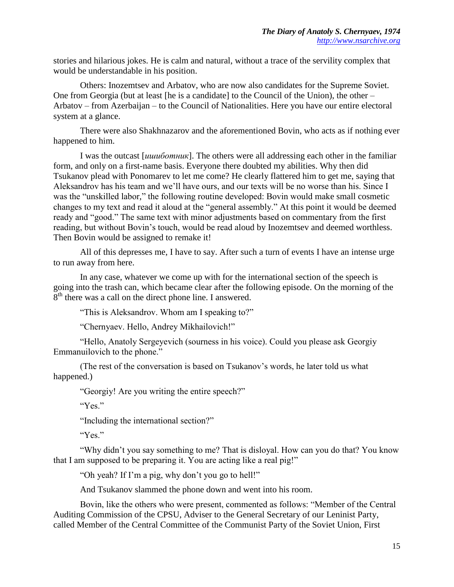stories and hilarious jokes. He is calm and natural, without a trace of the servility complex that would be understandable in his position.

Others: Inozemtsev and Arbatov, who are now also candidates for the Supreme Soviet. One from Georgia (but at least [he is a candidate] to the Council of the Union), the other – Arbatov – from Azerbaijan – to the Council of Nationalities. Here you have our entire electoral system at a glance.

There were also Shakhnazarov and the aforementioned Bovin, who acts as if nothing ever happened to him.

I was the outcast [*ишиботник*]. The others were all addressing each other in the familiar form, and only on a first-name basis. Everyone there doubted my abilities. Why then did Tsukanov plead with Ponomarev to let me come? He clearly flattered him to get me, saying that Aleksandrov has his team and we'll have ours, and our texts will be no worse than his. Since I was the "unskilled labor," the following routine developed: Bovin would make small cosmetic changes to my text and read it aloud at the "general assembly." At this point it would be deemed ready and "good." The same text with minor adjustments based on commentary from the first reading, but without Bovin's touch, would be read aloud by Inozemtsev and deemed worthless. Then Bovin would be assigned to remake it!

All of this depresses me, I have to say. After such a turn of events I have an intense urge to run away from here.

In any case, whatever we come up with for the international section of the speech is going into the trash can, which became clear after the following episode. On the morning of the  $8<sup>th</sup>$  there was a call on the direct phone line. I answered.

"This is Aleksandrov. Whom am I speaking to?"

"Chernyaev. Hello, Andrey Mikhailovich!"

"Hello, Anatoly Sergeyevich (sourness in his voice). Could you please ask Georgiy Emmanuilovich to the phone."

(The rest of the conversation is based on Tsukanov's words, he later told us what happened.)

"Georgiy! Are you writing the entire speech?"

"Yes."

"Including the international section?"

"Yes."

"Why didn't you say something to me? That is disloyal. How can you do that? You know that I am supposed to be preparing it. You are acting like a real pig!"

"Oh yeah? If I'm a pig, why don't you go to hell!"

And Tsukanov slammed the phone down and went into his room.

Bovin, like the others who were present, commented as follows: "Member of the Central Auditing Commission of the CPSU, Adviser to the General Secretary of our Leninist Party, called Member of the Central Committee of the Communist Party of the Soviet Union, First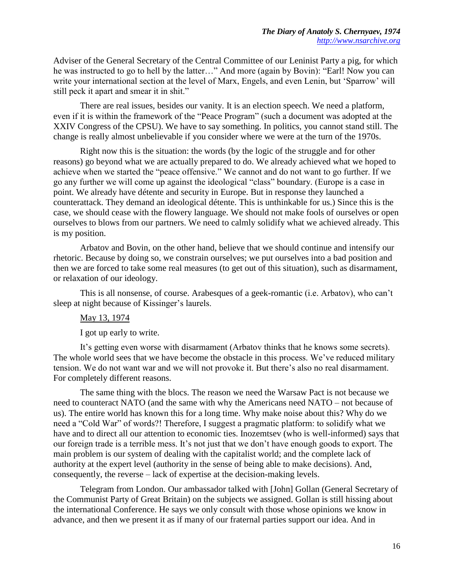Adviser of the General Secretary of the Central Committee of our Leninist Party a pig, for which he was instructed to go to hell by the latter…" And more (again by Bovin): "Earl! Now you can write your international section at the level of Marx, Engels, and even Lenin, but 'Sparrow' will still peck it apart and smear it in shit."

There are real issues, besides our vanity. It is an election speech. We need a platform, even if it is within the framework of the "Peace Program" (such a document was adopted at the XXIV Congress of the CPSU). We have to say something. In politics, you cannot stand still. The change is really almost unbelievable if you consider where we were at the turn of the 1970s.

Right now this is the situation: the words (by the logic of the struggle and for other reasons) go beyond what we are actually prepared to do. We already achieved what we hoped to achieve when we started the "peace offensive." We cannot and do not want to go further. If we go any further we will come up against the ideological "class" boundary. (Europe is a case in point. We already have détente and security in Europe. But in response they launched a counterattack. They demand an ideological détente. This is unthinkable for us.) Since this is the case, we should cease with the flowery language. We should not make fools of ourselves or open ourselves to blows from our partners. We need to calmly solidify what we achieved already. This is my position.

Arbatov and Bovin, on the other hand, believe that we should continue and intensify our rhetoric. Because by doing so, we constrain ourselves; we put ourselves into a bad position and then we are forced to take some real measures (to get out of this situation), such as disarmament, or relaxation of our ideology.

This is all nonsense, of course. Arabesques of a geek-romantic (i.e. Arbatov), who can't sleep at night because of Kissinger's laurels.

## May 13, 1974

I got up early to write.

It's getting even worse with disarmament (Arbatov thinks that he knows some secrets). The whole world sees that we have become the obstacle in this process. We've reduced military tension. We do not want war and we will not provoke it. But there's also no real disarmament. For completely different reasons.

The same thing with the blocs. The reason we need the Warsaw Pact is not because we need to counteract NATO (and the same with why the Americans need NATO – not because of us). The entire world has known this for a long time. Why make noise about this? Why do we need a "Cold War" of words?! Therefore, I suggest a pragmatic platform: to solidify what we have and to direct all our attention to economic ties. Inozemtsev (who is well-informed) says that our foreign trade is a terrible mess. It's not just that we don't have enough goods to export. The main problem is our system of dealing with the capitalist world; and the complete lack of authority at the expert level (authority in the sense of being able to make decisions). And, consequently, the reverse – lack of expertise at the decision-making levels.

Telegram from London. Our ambassador talked with [John] Gollan (General Secretary of the Communist Party of Great Britain) on the subjects we assigned. Gollan is still hissing about the international Conference. He says we only consult with those whose opinions we know in advance, and then we present it as if many of our fraternal parties support our idea. And in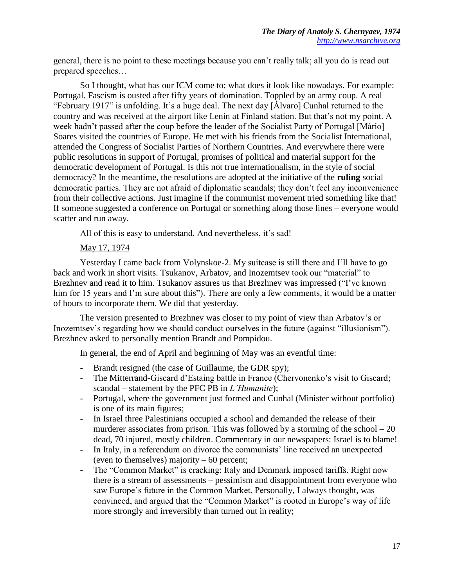general, there is no point to these meetings because you can't really talk; all you do is read out prepared speeches…

So I thought, what has our ICM come to; what does it look like nowadays. For example: Portugal. Fascism is ousted after fifty years of domination. Toppled by an army coup. A real "February 1917" is unfolding. It's a huge deal. The next day [Álvaro] Cunhal returned to the country and was received at the airport like Lenin at Finland station. But that's not my point. A week hadn't passed after the coup before the leader of the Socialist Party of Portugal [Mário] Soares visited the countries of Europe. He met with his friends from the Socialist International, attended the Congress of Socialist Parties of Northern Countries. And everywhere there were public resolutions in support of Portugal, promises of political and material support for the democratic development of Portugal. Is this not true internationalism, in the style of social democracy? In the meantime, the resolutions are adopted at the initiative of the **ruling** social democratic parties. They are not afraid of diplomatic scandals; they don't feel any inconvenience from their collective actions. Just imagine if the communist movement tried something like that! If someone suggested a conference on Portugal or something along those lines – everyone would scatter and run away.

All of this is easy to understand. And nevertheless, it's sad!

## May 17, 1974

Yesterday I came back from Volynskoe-2. My suitcase is still there and I'll have to go back and work in short visits. Tsukanov, Arbatov, and Inozemtsev took our "material" to Brezhnev and read it to him. Tsukanov assures us that Brezhnev was impressed ("I've known him for 15 years and I'm sure about this"). There are only a few comments, it would be a matter of hours to incorporate them. We did that yesterday.

The version presented to Brezhnev was closer to my point of view than Arbatov's or Inozemtsev's regarding how we should conduct ourselves in the future (against "illusionism"). Brezhnev asked to personally mention Brandt and Pompidou.

In general, the end of April and beginning of May was an eventful time:

- Brandt resigned (the case of Guillaume, the GDR spy);
- The Mitterrand-Giscard d'Estaing battle in France (Chervonenko's visit to Giscard; scandal – statement by the PFC PB in *L'Humanite*);
- Portugal, where the government just formed and Cunhal (Minister without portfolio) is one of its main figures;
- In Israel three Palestinians occupied a school and demanded the release of their murderer associates from prison. This was followed by a storming of the school  $-20$ dead, 70 injured, mostly children. Commentary in our newspapers: Israel is to blame!
- In Italy, in a referendum on divorce the communists' line received an unexpected (even to themselves) majority – 60 percent;
- The "Common Market" is cracking: Italy and Denmark imposed tariffs. Right now there is a stream of assessments – pessimism and disappointment from everyone who saw Europe's future in the Common Market. Personally, I always thought, was convinced, and argued that the "Common Market" is rooted in Europe's way of life more strongly and irreversibly than turned out in reality;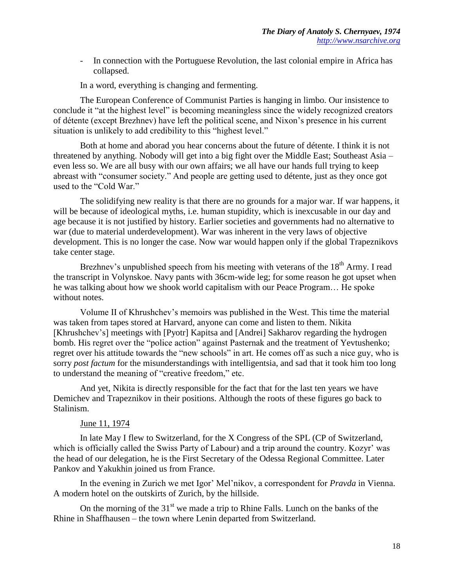- In connection with the Portuguese Revolution, the last colonial empire in Africa has collapsed.

In a word, everything is changing and fermenting.

The European Conference of Communist Parties is hanging in limbo. Our insistence to conclude it "at the highest level" is becoming meaningless since the widely recognized creators of détente (except Brezhnev) have left the political scene, and Nixon's presence in his current situation is unlikely to add credibility to this "highest level."

Both at home and aborad you hear concerns about the future of détente. I think it is not threatened by anything. Nobody will get into a big fight over the Middle East; Southeast Asia – even less so. We are all busy with our own affairs; we all have our hands full trying to keep abreast with "consumer society." And people are getting used to détente, just as they once got used to the "Cold War."

The solidifying new reality is that there are no grounds for a major war. If war happens, it will be because of ideological myths, i.e. human stupidity, which is inexcusable in our day and age because it is not justified by history. Earlier societies and governments had no alternative to war (due to material underdevelopment). War was inherent in the very laws of objective development. This is no longer the case. Now war would happen only if the global Trapeznikovs take center stage.

Brezhnev's unpublished speech from his meeting with veterans of the  $18<sup>th</sup>$  Army. I read the transcript in Volynskoe. Navy pants with 36cm-wide leg; for some reason he got upset when he was talking about how we shook world capitalism with our Peace Program… He spoke without notes.

Volume II of Khrushchev's memoirs was published in the West. This time the material was taken from tapes stored at Harvard, anyone can come and listen to them. Nikita [Khrushchev's] meetings with [Pyotr] Kapitsa and [Andrei] Sakharov regarding the hydrogen bomb. His regret over the "police action" against Pasternak and the treatment of Yevtushenko; regret over his attitude towards the "new schools" in art. He comes off as such a nice guy, who is sorry *post factum* for the misunderstandings with intelligentsia, and sad that it took him too long to understand the meaning of "creative freedom," etc.

And yet, Nikita is directly responsible for the fact that for the last ten years we have Demichev and Trapeznikov in their positions. Although the roots of these figures go back to Stalinism.

#### June 11, 1974

In late May I flew to Switzerland, for the X Congress of the SPL (CP of Switzerland, which is officially called the Swiss Party of Labour) and a trip around the country. Kozyr' was the head of our delegation, he is the First Secretary of the Odessa Regional Committee. Later Pankov and Yakukhin joined us from France.

In the evening in Zurich we met Igor' Mel'nikov, a correspondent for *Pravda* in Vienna. A modern hotel on the outskirts of Zurich, by the hillside.

On the morning of the  $31<sup>st</sup>$  we made a trip to Rhine Falls. Lunch on the banks of the Rhine in Shaffhausen – the town where Lenin departed from Switzerland.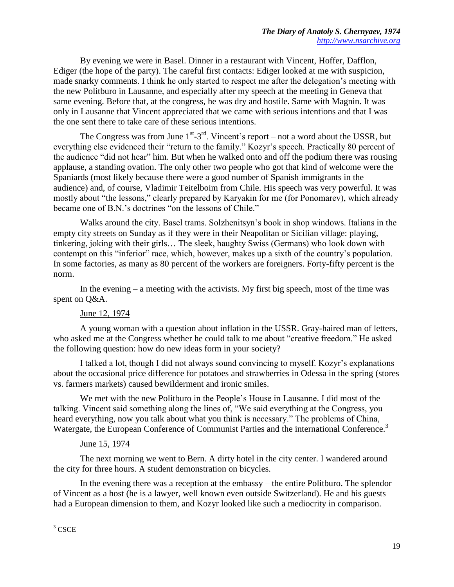By evening we were in Basel. Dinner in a restaurant with Vincent, Hoffer, Dafflon, Ediger (the hope of the party). The careful first contacts: Ediger looked at me with suspicion, made snarky comments. I think he only started to respect me after the delegation's meeting with the new Politburo in Lausanne, and especially after my speech at the meeting in Geneva that same evening. Before that, at the congress, he was dry and hostile. Same with Magnin. It was only in Lausanne that Vincent appreciated that we came with serious intentions and that I was the one sent there to take care of these serious intentions.

The Congress was from June  $1^{st}$ -3<sup>rd</sup>. Vincent's report – not a word about the USSR, but everything else evidenced their "return to the family." Kozyr's speech. Practically 80 percent of the audience "did not hear" him. But when he walked onto and off the podium there was rousing applause, a standing ovation. The only other two people who got that kind of welcome were the Spaniards (most likely because there were a good number of Spanish immigrants in the audience) and, of course, Vladimir Teitelboim from Chile. His speech was very powerful. It was mostly about "the lessons," clearly prepared by Karyakin for me (for Ponomarev), which already became one of B.N.'s doctrines "on the lessons of Chile."

Walks around the city. Basel trams. Solzhenitsyn's book in shop windows. Italians in the empty city streets on Sunday as if they were in their Neapolitan or Sicilian village: playing, tinkering, joking with their girls… The sleek, haughty Swiss (Germans) who look down with contempt on this "inferior" race, which, however, makes up a sixth of the country's population. In some factories, as many as 80 percent of the workers are foreigners. Forty-fifty percent is the norm.

In the evening  $-$  a meeting with the activists. My first big speech, most of the time was spent on Q&A.

## June 12, 1974

A young woman with a question about inflation in the USSR. Gray-haired man of letters, who asked me at the Congress whether he could talk to me about "creative freedom." He asked the following question: how do new ideas form in your society?

I talked a lot, though I did not always sound convincing to myself. Kozyr's explanations about the occasional price difference for potatoes and strawberries in Odessa in the spring (stores vs. farmers markets) caused bewilderment and ironic smiles.

We met with the new Politburo in the People's House in Lausanne. I did most of the talking. Vincent said something along the lines of, "We said everything at the Congress, you heard everything, now you talk about what you think is necessary." The problems of China, Watergate, the European Conference of Communist Parties and the international Conference.<sup>3</sup>

#### June 15, 1974

The next morning we went to Bern. A dirty hotel in the city center. I wandered around the city for three hours. A student demonstration on bicycles.

In the evening there was a reception at the embassy – the entire Politburo. The splendor of Vincent as a host (he is a lawyer, well known even outside Switzerland). He and his guests had a European dimension to them, and Kozyr looked like such a mediocrity in comparison.

 $\overline{\phantom{a}}$  $3 \text{ CSCE}$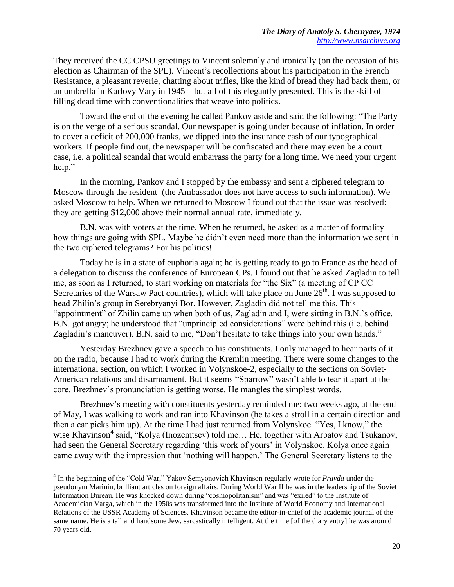They received the CC CPSU greetings to Vincent solemnly and ironically (on the occasion of his election as Chairman of the SPL). Vincent's recollections about his participation in the French Resistance, a pleasant reverie, chatting about trifles, like the kind of bread they had back them, or an umbrella in Karlovy Vary in 1945 – but all of this elegantly presented. This is the skill of filling dead time with conventionalities that weave into politics.

Toward the end of the evening he called Pankov aside and said the following: "The Party is on the verge of a serious scandal. Our newspaper is going under because of inflation. In order to cover a deficit of 200,000 franks, we dipped into the insurance cash of our typographical workers. If people find out, the newspaper will be confiscated and there may even be a court case, i.e. a political scandal that would embarrass the party for a long time. We need your urgent help."

In the morning, Pankov and I stopped by the embassy and sent a ciphered telegram to Moscow through the resident (the Ambassador does not have access to such information). We asked Moscow to help. When we returned to Moscow I found out that the issue was resolved: they are getting \$12,000 above their normal annual rate, immediately.

B.N. was with voters at the time. When he returned, he asked as a matter of formality how things are going with SPL. Maybe he didn't even need more than the information we sent in the two ciphered telegrams? For his politics!

Today he is in a state of euphoria again; he is getting ready to go to France as the head of a delegation to discuss the conference of European CPs. I found out that he asked Zagladin to tell me, as soon as I returned, to start working on materials for "the Six" (a meeting of CP CC Secretaries of the Warsaw Pact countries), which will take place on June  $26<sup>th</sup>$ . I was supposed to head Zhilin's group in Serebryanyi Bor. However, Zagladin did not tell me this. This "appointment" of Zhilin came up when both of us, Zagladin and I, were sitting in B.N.'s office. B.N. got angry; he understood that "unprincipled considerations" were behind this (i.e. behind Zagladin's maneuver). B.N. said to me, "Don't hesitate to take things into your own hands."

Yesterday Brezhnev gave a speech to his constituents. I only managed to hear parts of it on the radio, because I had to work during the Kremlin meeting. There were some changes to the international section, on which I worked in Volynskoe-2, especially to the sections on Soviet-American relations and disarmament. But it seems "Sparrow" wasn't able to tear it apart at the core. Brezhnev's pronunciation is getting worse. He mangles the simplest words.

Brezhnev's meeting with constituents yesterday reminded me: two weeks ago, at the end of May, I was walking to work and ran into Khavinson (he takes a stroll in a certain direction and then a car picks him up). At the time I had just returned from Volynskoe. "Yes, I know," the wise Khavinson<sup>4</sup> said, "Kolya (Inozemtsev) told me... He, together with Arbatov and Tsukanov, had seen the General Secretary regarding 'this work of yours' in Volynskoe. Kolya once again came away with the impression that 'nothing will happen.' The General Secretary listens to the

 $\overline{\phantom{a}}$ 

<sup>4</sup> In the beginning of the "Cold War," Yakov Semyonovich Khavinson regularly wrote for *Pravda* under the pseudonym Marinin, brilliant articles on foreign affairs. During World War II he was in the leadership of the Soviet Information Bureau. He was knocked down during "cosmopolitanism" and was "exiled" to the Institute of Academician Varga, which in the 1950s was transformed into the Institute of World Economy and International Relations of the USSR Academy of Sciences. Khavinson became the editor-in-chief of the academic journal of the same name. He is a tall and handsome Jew, sarcastically intelligent. At the time [of the diary entry] he was around 70 years old.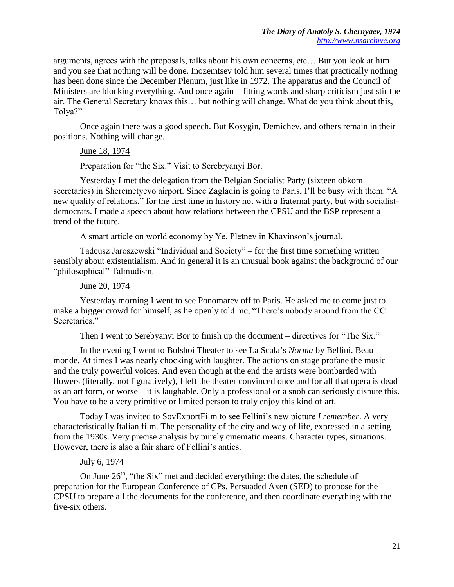arguments, agrees with the proposals, talks about his own concerns, etc… But you look at him and you see that nothing will be done. Inozemtsev told him several times that practically nothing has been done since the December Plenum, just like in 1972. The apparatus and the Council of Ministers are blocking everything. And once again – fitting words and sharp criticism just stir the air. The General Secretary knows this… but nothing will change. What do you think about this, Tolya?"

Once again there was a good speech. But Kosygin, Demichev, and others remain in their positions. Nothing will change.

## June 18, 1974

Preparation for "the Six." Visit to Serebryanyi Bor.

Yesterday I met the delegation from the Belgian Socialist Party (sixteen obkom secretaries) in Sheremetyevo airport. Since Zagladin is going to Paris, I'll be busy with them. "A new quality of relations," for the first time in history not with a fraternal party, but with socialistdemocrats. I made a speech about how relations between the CPSU and the BSP represent a trend of the future.

A smart article on world economy by Ye. Pletnev in Khavinson's journal.

Tadeusz Jaroszewski "Individual and Society" – for the first time something written sensibly about existentialism. And in general it is an unusual book against the background of our "philosophical" Talmudism.

## June 20, 1974

Yesterday morning I went to see Ponomarev off to Paris. He asked me to come just to make a bigger crowd for himself, as he openly told me, "There's nobody around from the CC Secretaries."

Then I went to Serebyanyi Bor to finish up the document – directives for "The Six."

In the evening I went to Bolshoi Theater to see La Scala's *Norma* by Bellini. Beau monde. At times I was nearly chocking with laughter. The actions on stage profane the music and the truly powerful voices. And even though at the end the artists were bombarded with flowers (literally, not figuratively), I left the theater convinced once and for all that opera is dead as an art form, or worse – it is laughable. Only a professional or a snob can seriously dispute this. You have to be a very primitive or limited person to truly enjoy this kind of art.

Today I was invited to SovExportFilm to see Fellini's new picture *I remember*. A very characteristically Italian film. The personality of the city and way of life, expressed in a setting from the 1930s. Very precise analysis by purely cinematic means. Character types, situations. However, there is also a fair share of Fellini's antics.

## July 6, 1974

On June  $26<sup>th</sup>$ , "the Six" met and decided everything: the dates, the schedule of preparation for the European Conference of CPs. Persuaded Axen (SED) to propose for the CPSU to prepare all the documents for the conference, and then coordinate everything with the five-six others.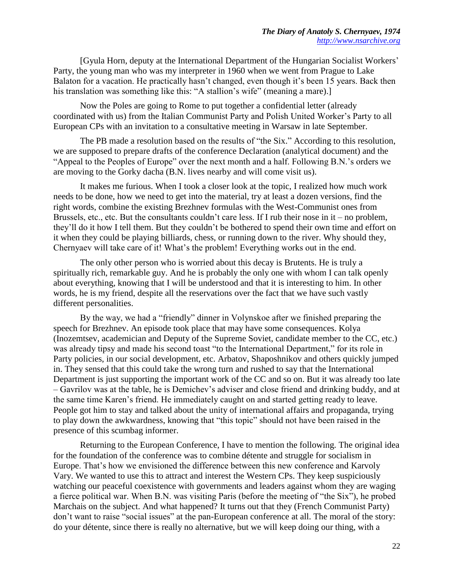[Gyula Horn, deputy at the International Department of the Hungarian Socialist Workers' Party, the young man who was my interpreter in 1960 when we went from Prague to Lake Balaton for a vacation. He practically hasn't changed, even though it's been 15 years. Back then his translation was something like this: "A stallion's wife" (meaning a mare).]

Now the Poles are going to Rome to put together a confidential letter (already coordinated with us) from the Italian Communist Party and Polish United Worker's Party to all European CPs with an invitation to a consultative meeting in Warsaw in late September.

The PB made a resolution based on the results of "the Six." According to this resolution, we are supposed to prepare drafts of the conference Declaration (analytical document) and the "Appeal to the Peoples of Europe" over the next month and a half. Following B.N.'s orders we are moving to the Gorky dacha (B.N. lives nearby and will come visit us).

It makes me furious. When I took a closer look at the topic, I realized how much work needs to be done, how we need to get into the material, try at least a dozen versions, find the right words, combine the existing Brezhnev formulas with the West-Communist ones from Brussels, etc., etc. But the consultants couldn't care less. If I rub their nose in it – no problem, they'll do it how I tell them. But they couldn't be bothered to spend their own time and effort on it when they could be playing billiards, chess, or running down to the river. Why should they, Chernyaev will take care of it! What's the problem! Everything works out in the end.

The only other person who is worried about this decay is Brutents. He is truly a spiritually rich, remarkable guy. And he is probably the only one with whom I can talk openly about everything, knowing that I will be understood and that it is interesting to him. In other words, he is my friend, despite all the reservations over the fact that we have such vastly different personalities.

By the way, we had a "friendly" dinner in Volynskoe after we finished preparing the speech for Brezhnev. An episode took place that may have some consequences. Kolya (Inozemtsev, academician and Deputy of the Supreme Soviet, candidate member to the CC, etc.) was already tipsy and made his second toast "to the International Department," for its role in Party policies, in our social development, etc. Arbatov, Shaposhnikov and others quickly jumped in. They sensed that this could take the wrong turn and rushed to say that the International Department is just supporting the important work of the CC and so on. But it was already too late – Gavrilov was at the table, he is Demichev's adviser and close friend and drinking buddy, and at the same time Karen's friend. He immediately caught on and started getting ready to leave. People got him to stay and talked about the unity of international affairs and propaganda, trying to play down the awkwardness, knowing that "this topic" should not have been raised in the presence of this scumbag informer.

Returning to the European Conference, I have to mention the following. The original idea for the foundation of the conference was to combine détente and struggle for socialism in Europe. That's how we envisioned the difference between this new conference and Karvoly Vary. We wanted to use this to attract and interest the Western CPs. They keep suspiciously watching our peaceful coexistence with governments and leaders against whom they are waging a fierce political war. When B.N. was visiting Paris (before the meeting of "the Six"), he probed Marchais on the subject. And what happened? It turns out that they (French Communist Party) don't want to raise "social issues" at the pan-European conference at all. The moral of the story: do your détente, since there is really no alternative, but we will keep doing our thing, with a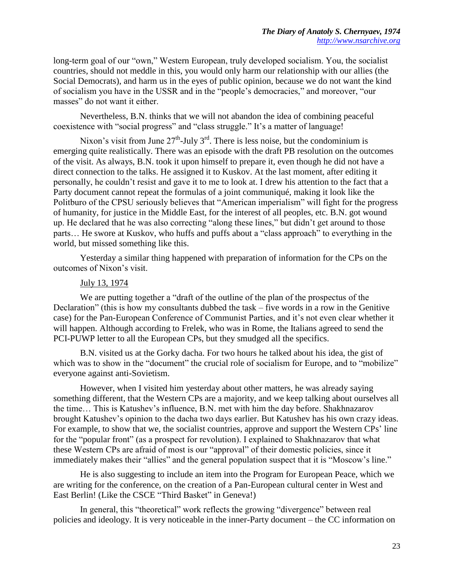long-term goal of our "own," Western European, truly developed socialism. You, the socialist countries, should not meddle in this, you would only harm our relationship with our allies (the Social Democrats), and harm us in the eyes of public opinion, because we do not want the kind of socialism you have in the USSR and in the "people's democracies," and moreover, "our masses" do not want it either.

Nevertheless, B.N. thinks that we will not abandon the idea of combining peaceful coexistence with "social progress" and "class struggle." It's a matter of language!

Nixon's visit from June  $27<sup>th</sup>$ -July 3<sup>rd</sup>. There is less noise, but the condominium is emerging quite realistically. There was an episode with the draft PB resolution on the outcomes of the visit. As always, B.N. took it upon himself to prepare it, even though he did not have a direct connection to the talks. He assigned it to Kuskov. At the last moment, after editing it personally, he couldn't resist and gave it to me to look at. I drew his attention to the fact that a Party document cannot repeat the formulas of a joint communiqué, making it look like the Politburo of the CPSU seriously believes that "American imperialism" will fight for the progress of humanity, for justice in the Middle East, for the interest of all peoples, etc. B.N. got wound up. He declared that he was also correcting "along these lines," but didn't get around to those parts… He swore at Kuskov, who huffs and puffs about a "class approach" to everything in the world, but missed something like this.

Yesterday a similar thing happened with preparation of information for the CPs on the outcomes of Nixon's visit.

## July 13, 1974

We are putting together a "draft of the outline of the plan of the prospectus of the Declaration" (this is how my consultants dubbed the task – five words in a row in the Genitive case) for the Pan-European Conference of Communist Parties, and it's not even clear whether it will happen. Although according to Frelek, who was in Rome, the Italians agreed to send the PCI-PUWP letter to all the European CPs, but they smudged all the specifics.

B.N. visited us at the Gorky dacha. For two hours he talked about his idea, the gist of which was to show in the "document" the crucial role of socialism for Europe, and to "mobilize" everyone against anti-Sovietism.

However, when I visited him yesterday about other matters, he was already saying something different, that the Western CPs are a majority, and we keep talking about ourselves all the time… This is Katushev's influence, B.N. met with him the day before. Shakhnazarov brought Katushev's opinion to the dacha two days earlier. But Katushev has his own crazy ideas. For example, to show that we, the socialist countries, approve and support the Western CPs' line for the "popular front" (as a prospect for revolution). I explained to Shakhnazarov that what these Western CPs are afraid of most is our "approval" of their domestic policies, since it immediately makes their "allies" and the general population suspect that it is "Moscow's line."

He is also suggesting to include an item into the Program for European Peace, which we are writing for the conference, on the creation of a Pan-European cultural center in West and East Berlin! (Like the CSCE "Third Basket" in Geneva!)

In general, this "theoretical" work reflects the growing "divergence" between real policies and ideology. It is very noticeable in the inner-Party document – the CC information on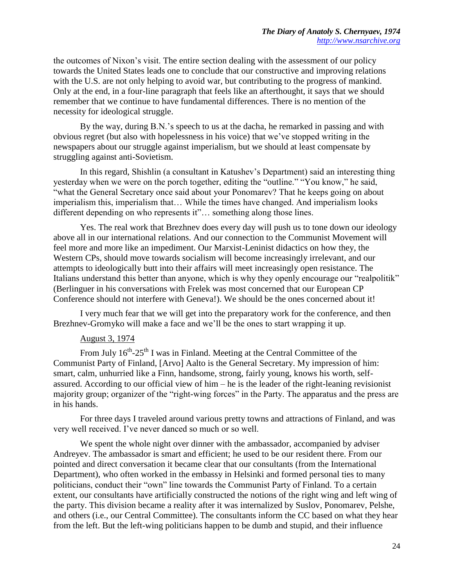the outcomes of Nixon's visit. The entire section dealing with the assessment of our policy towards the United States leads one to conclude that our constructive and improving relations with the U.S. are not only helping to avoid war, but contributing to the progress of mankind. Only at the end, in a four-line paragraph that feels like an afterthought, it says that we should remember that we continue to have fundamental differences. There is no mention of the necessity for ideological struggle.

By the way, during B.N.'s speech to us at the dacha, he remarked in passing and with obvious regret (but also with hopelessness in his voice) that we've stopped writing in the newspapers about our struggle against imperialism, but we should at least compensate by struggling against anti-Sovietism.

In this regard, Shishlin (a consultant in Katushev's Department) said an interesting thing yesterday when we were on the porch together, editing the "outline." "You know," he said, "what the General Secretary once said about your Ponomarev? That he keeps going on about imperialism this, imperialism that… While the times have changed. And imperialism looks different depending on who represents it"… something along those lines.

Yes. The real work that Brezhnev does every day will push us to tone down our ideology above all in our international relations. And our connection to the Communist Movement will feel more and more like an impediment. Our Marxist-Leninist didactics on how they, the Western CPs, should move towards socialism will become increasingly irrelevant, and our attempts to ideologically butt into their affairs will meet increasingly open resistance. The Italians understand this better than anyone, which is why they openly encourage our "realpolitik" (Berlinguer in his conversations with Frelek was most concerned that our European CP Conference should not interfere with Geneva!). We should be the ones concerned about it!

I very much fear that we will get into the preparatory work for the conference, and then Brezhnev-Gromyko will make a face and we'll be the ones to start wrapping it up.

#### August 3, 1974

From July  $16^{th}$ -25<sup>th</sup> I was in Finland. Meeting at the Central Committee of the Communist Party of Finland, [Arvo] Aalto is the General Secretary. My impression of him: smart, calm, unhurried like a Finn, handsome, strong, fairly young, knows his worth, selfassured. According to our official view of him – he is the leader of the right-leaning revisionist majority group; organizer of the "right-wing forces" in the Party. The apparatus and the press are in his hands.

For three days I traveled around various pretty towns and attractions of Finland, and was very well received. I've never danced so much or so well.

We spent the whole night over dinner with the ambassador, accompanied by adviser Andreyev. The ambassador is smart and efficient; he used to be our resident there. From our pointed and direct conversation it became clear that our consultants (from the International Department), who often worked in the embassy in Helsinki and formed personal ties to many politicians, conduct their "own" line towards the Communist Party of Finland. To a certain extent, our consultants have artificially constructed the notions of the right wing and left wing of the party. This division became a reality after it was internalized by Suslov, Ponomarev, Pelshe, and others (i.e., our Central Committee). The consultants inform the CC based on what they hear from the left. But the left-wing politicians happen to be dumb and stupid, and their influence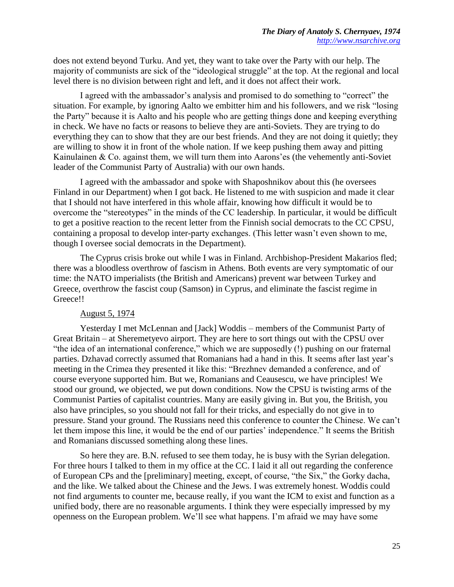does not extend beyond Turku. And yet, they want to take over the Party with our help. The majority of communists are sick of the "ideological struggle" at the top. At the regional and local level there is no division between right and left, and it does not affect their work.

I agreed with the ambassador's analysis and promised to do something to "correct" the situation. For example, by ignoring Aalto we embitter him and his followers, and we risk "losing the Party" because it is Aalto and his people who are getting things done and keeping everything in check. We have no facts or reasons to believe they are anti-Soviets. They are trying to do everything they can to show that they are our best friends. And they are not doing it quietly; they are willing to show it in front of the whole nation. If we keep pushing them away and pitting Kainulainen & Co. against them, we will turn them into Aarons'es (the vehemently anti-Soviet leader of the Communist Party of Australia) with our own hands.

I agreed with the ambassador and spoke with Shaposhnikov about this (he oversees Finland in our Department) when I got back. He listened to me with suspicion and made it clear that I should not have interfered in this whole affair, knowing how difficult it would be to overcome the "stereotypes" in the minds of the CC leadership. In particular, it would be difficult to get a positive reaction to the recent letter from the Finnish social democrats to the CC CPSU, containing a proposal to develop inter-party exchanges. (This letter wasn't even shown to me, though I oversee social democrats in the Department).

The Cyprus crisis broke out while I was in Finland. Archbishop-President Makarios fled; there was a bloodless overthrow of fascism in Athens. Both events are very symptomatic of our time: the NATO imperialists (the British and Americans) prevent war between Turkey and Greece, overthrow the fascist coup (Samson) in Cyprus, and eliminate the fascist regime in Greece!!

### August 5, 1974

Yesterday I met McLennan and [Jack] Woddis – members of the Communist Party of Great Britain – at Sheremetyevo airport. They are here to sort things out with the CPSU over "the idea of an international conference," which we are supposedly (!) pushing on our fraternal parties. Dzhavad correctly assumed that Romanians had a hand in this. It seems after last year's meeting in the Crimea they presented it like this: "Brezhnev demanded a conference, and of course everyone supported him. But we, Romanians and Ceausescu, we have principles! We stood our ground, we objected, we put down conditions. Now the CPSU is twisting arms of the Communist Parties of capitalist countries. Many are easily giving in. But you, the British, you also have principles, so you should not fall for their tricks, and especially do not give in to pressure. Stand your ground. The Russians need this conference to counter the Chinese. We can't let them impose this line, it would be the end of our parties' independence." It seems the British and Romanians discussed something along these lines.

So here they are. B.N. refused to see them today, he is busy with the Syrian delegation. For three hours I talked to them in my office at the CC. I laid it all out regarding the conference of European CPs and the [preliminary] meeting, except, of course, "the Six," the Gorky dacha, and the like. We talked about the Chinese and the Jews. I was extremely honest. Woddis could not find arguments to counter me, because really, if you want the ICM to exist and function as a unified body, there are no reasonable arguments. I think they were especially impressed by my openness on the European problem. We'll see what happens. I'm afraid we may have some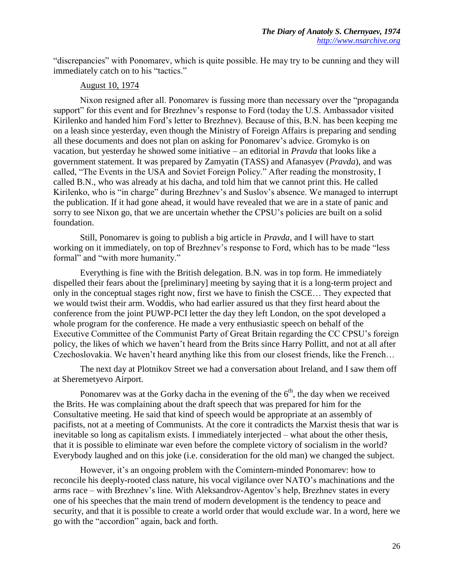"discrepancies" with Ponomarev, which is quite possible. He may try to be cunning and they will immediately catch on to his "tactics."

## August 10, 1974

Nixon resigned after all. Ponomarev is fussing more than necessary over the "propaganda support" for this event and for Brezhnev's response to Ford (today the U.S. Ambassador visited Kirilenko and handed him Ford's letter to Brezhnev). Because of this, B.N. has been keeping me on a leash since yesterday, even though the Ministry of Foreign Affairs is preparing and sending all these documents and does not plan on asking for Ponomarev's advice. Gromyko is on vacation, but yesterday he showed some initiative – an editorial in *Pravda* that looks like a government statement. It was prepared by Zamyatin (TASS) and Afanasyev (*Pravda*), and was called, "The Events in the USA and Soviet Foreign Policy." After reading the monstrosity, I called B.N., who was already at his dacha, and told him that we cannot print this. He called Kirilenko, who is "in charge" during Brezhnev's and Suslov's absence. We managed to interrupt the publication. If it had gone ahead, it would have revealed that we are in a state of panic and sorry to see Nixon go, that we are uncertain whether the CPSU's policies are built on a solid foundation.

Still, Ponomarev is going to publish a big article in *Pravda*, and I will have to start working on it immediately, on top of Brezhnev's response to Ford, which has to be made "less formal" and "with more humanity."

Everything is fine with the British delegation. B.N. was in top form. He immediately dispelled their fears about the [preliminary] meeting by saying that it is a long-term project and only in the conceptual stages right now, first we have to finish the CSCE… They expected that we would twist their arm. Woddis, who had earlier assured us that they first heard about the conference from the joint PUWP-PCI letter the day they left London, on the spot developed a whole program for the conference. He made a very enthusiastic speech on behalf of the Executive Committee of the Communist Party of Great Britain regarding the CC CPSU's foreign policy, the likes of which we haven't heard from the Brits since Harry Pollitt, and not at all after Czechoslovakia. We haven't heard anything like this from our closest friends, like the French…

The next day at Plotnikov Street we had a conversation about Ireland, and I saw them off at Sheremetyevo Airport.

Ponomarev was at the Gorky dacha in the evening of the  $6<sup>th</sup>$ , the day when we received the Brits. He was complaining about the draft speech that was prepared for him for the Consultative meeting. He said that kind of speech would be appropriate at an assembly of pacifists, not at a meeting of Communists. At the core it contradicts the Marxist thesis that war is inevitable so long as capitalism exists. I immediately interjected – what about the other thesis, that it is possible to eliminate war even before the complete victory of socialism in the world? Everybody laughed and on this joke (i.e. consideration for the old man) we changed the subject.

However, it's an ongoing problem with the Comintern-minded Ponomarev: how to reconcile his deeply-rooted class nature, his vocal vigilance over NATO's machinations and the arms race – with Brezhnev's line. With Aleksandrov-Agentov's help, Brezhnev states in every one of his speeches that the main trend of modern development is the tendency to peace and security, and that it is possible to create a world order that would exclude war. In a word, here we go with the "accordion" again, back and forth.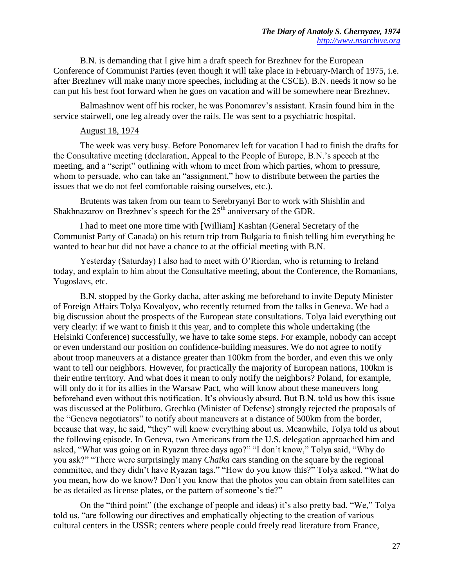B.N. is demanding that I give him a draft speech for Brezhnev for the European Conference of Communist Parties (even though it will take place in February-March of 1975, i.e. after Brezhnev will make many more speeches, including at the CSCE). B.N. needs it now so he can put his best foot forward when he goes on vacation and will be somewhere near Brezhnev.

Balmashnov went off his rocker, he was Ponomarev's assistant. Krasin found him in the service stairwell, one leg already over the rails. He was sent to a psychiatric hospital.

#### August 18, 1974

The week was very busy. Before Ponomarev left for vacation I had to finish the drafts for the Consultative meeting (declaration, Appeal to the People of Europe, B.N.'s speech at the meeting, and a "script" outlining with whom to meet from which parties, whom to pressure, whom to persuade, who can take an "assignment," how to distribute between the parties the issues that we do not feel comfortable raising ourselves, etc.).

Brutents was taken from our team to Serebryanyi Bor to work with Shishlin and Shakhnazarov on Brezhnev's speech for the  $25<sup>th</sup>$  anniversary of the GDR.

I had to meet one more time with [William] Kashtan (General Secretary of the Communist Party of Canada) on his return trip from Bulgaria to finish telling him everything he wanted to hear but did not have a chance to at the official meeting with B.N.

Yesterday (Saturday) I also had to meet with O'Riordan, who is returning to Ireland today, and explain to him about the Consultative meeting, about the Conference, the Romanians, Yugoslavs, etc.

B.N. stopped by the Gorky dacha, after asking me beforehand to invite Deputy Minister of Foreign Affairs Tolya Kovalyov, who recently returned from the talks in Geneva. We had a big discussion about the prospects of the European state consultations. Tolya laid everything out very clearly: if we want to finish it this year, and to complete this whole undertaking (the Helsinki Conference) successfully, we have to take some steps. For example, nobody can accept or even understand our position on confidence-building measures. We do not agree to notify about troop maneuvers at a distance greater than 100km from the border, and even this we only want to tell our neighbors. However, for practically the majority of European nations, 100km is their entire territory. And what does it mean to only notify the neighbors? Poland, for example, will only do it for its allies in the Warsaw Pact, who will know about these maneuvers long beforehand even without this notification. It's obviously absurd. But B.N. told us how this issue was discussed at the Politburo. Grechko (Minister of Defense) strongly rejected the proposals of the "Geneva negotiators" to notify about maneuvers at a distance of 500km from the border, because that way, he said, "they" will know everything about us. Meanwhile, Tolya told us about the following episode. In Geneva, two Americans from the U.S. delegation approached him and asked, "What was going on in Ryazan three days ago?" "I don't know," Tolya said, "Why do you ask?" "There were surprisingly many *Chaika* cars standing on the square by the regional committee, and they didn't have Ryazan tags." "How do you know this?" Tolya asked. "What do you mean, how do we know? Don't you know that the photos you can obtain from satellites can be as detailed as license plates, or the pattern of someone's tie?"

On the "third point" (the exchange of people and ideas) it's also pretty bad. "We," Tolya told us, "are following our directives and emphatically objecting to the creation of various cultural centers in the USSR; centers where people could freely read literature from France,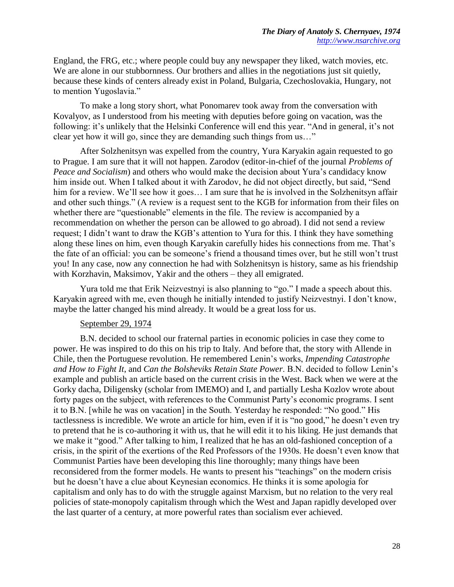England, the FRG, etc.; where people could buy any newspaper they liked, watch movies, etc. We are alone in our stubbornness. Our brothers and allies in the negotiations just sit quietly, because these kinds of centers already exist in Poland, Bulgaria, Czechoslovakia, Hungary, not to mention Yugoslavia."

To make a long story short, what Ponomarev took away from the conversation with Kovalyov, as I understood from his meeting with deputies before going on vacation, was the following: it's unlikely that the Helsinki Conference will end this year. "And in general, it's not clear yet how it will go, since they are demanding such things from us…"

After Solzhenitsyn was expelled from the country, Yura Karyakin again requested to go to Prague. I am sure that it will not happen. Zarodov (editor-in-chief of the journal *Problems of Peace and Socialism*) and others who would make the decision about Yura's candidacy know him inside out. When I talked about it with Zarodov, he did not object directly, but said, "Send him for a review. We'll see how it goes... I am sure that he is involved in the Solzhenitsyn affair and other such things." (A review is a request sent to the KGB for information from their files on whether there are "questionable" elements in the file. The review is accompanied by a recommendation on whether the person can be allowed to go abroad). I did not send a review request; I didn't want to draw the KGB's attention to Yura for this. I think they have something along these lines on him, even though Karyakin carefully hides his connections from me. That's the fate of an official: you can be someone's friend a thousand times over, but he still won't trust you! In any case, now any connection he had with Solzhenitsyn is history, same as his friendship with Korzhavin, Maksimov, Yakir and the others – they all emigrated.

Yura told me that Erik Neizvestnyi is also planning to "go." I made a speech about this. Karyakin agreed with me, even though he initially intended to justify Neizvestnyi. I don't know, maybe the latter changed his mind already. It would be a great loss for us.

#### September 29, 1974

B.N. decided to school our fraternal parties in economic policies in case they come to power. He was inspired to do this on his trip to Italy. And before that, the story with Allende in Chile, then the Portuguese revolution. He remembered Lenin's works, *Impending Catastrophe and How to Fight It*, and *Can the Bolsheviks Retain State Power*. B.N. decided to follow Lenin's example and publish an article based on the current crisis in the West. Back when we were at the Gorky dacha, Diligensky (scholar from IMEMO) and I, and partially Lesha Kozlov wrote about forty pages on the subject, with references to the Communist Party's economic programs. I sent it to B.N. [while he was on vacation] in the South. Yesterday he responded: "No good." His tactlessness is incredible. We wrote an article for him, even if it is "no good," he doesn't even try to pretend that he is co-authoring it with us, that he will edit it to his liking. He just demands that we make it "good." After talking to him, I realized that he has an old-fashioned conception of a crisis, in the spirit of the exertions of the Red Professors of the 1930s. He doesn't even know that Communist Parties have been developing this line thoroughly; many things have been reconsidered from the former models. He wants to present his "teachings" on the modern crisis but he doesn't have a clue about Keynesian economics. He thinks it is some apologia for capitalism and only has to do with the struggle against Marxism, but no relation to the very real policies of state-monopoly capitalism through which the West and Japan rapidly developed over the last quarter of a century, at more powerful rates than socialism ever achieved.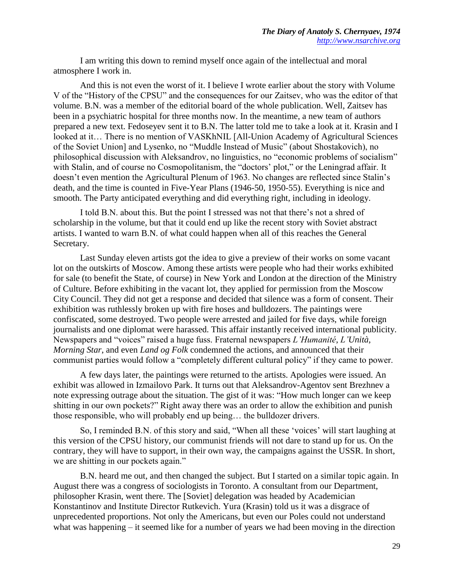I am writing this down to remind myself once again of the intellectual and moral atmosphere I work in.

And this is not even the worst of it. I believe I wrote earlier about the story with Volume V of the "History of the CPSU" and the consequences for our Zaitsev, who was the editor of that volume. B.N. was a member of the editorial board of the whole publication. Well, Zaitsev has been in a psychiatric hospital for three months now. In the meantime, a new team of authors prepared a new text. Fedoseyev sent it to B.N. The latter told me to take a look at it. Krasin and I looked at it… There is no mention of VASKhNIL [All-Union Academy of Agricultural Sciences of the Soviet Union] and Lysenko, no "Muddle Instead of Music" (about Shostakovich), no philosophical discussion with Aleksandrov, no linguistics, no "economic problems of socialism" with Stalin, and of course no Cosmopolitanism, the "doctors' plot," or the Leningrad affair. It doesn't even mention the Agricultural Plenum of 1963. No changes are reflected since Stalin's death, and the time is counted in Five-Year Plans (1946-50, 1950-55). Everything is nice and smooth. The Party anticipated everything and did everything right, including in ideology.

I told B.N. about this. But the point I stressed was not that there's not a shred of scholarship in the volume, but that it could end up like the recent story with Soviet abstract artists. I wanted to warn B.N. of what could happen when all of this reaches the General Secretary.

Last Sunday eleven artists got the idea to give a preview of their works on some vacant lot on the outskirts of Moscow. Among these artists were people who had their works exhibited for sale (to benefit the State, of course) in New York and London at the direction of the Ministry of Culture. Before exhibiting in the vacant lot, they applied for permission from the Moscow City Council. They did not get a response and decided that silence was a form of consent. Their exhibition was ruthlessly broken up with fire hoses and bulldozers. The paintings were confiscated, some destroyed. Two people were arrested and jailed for five days, while foreign journalists and one diplomat were harassed. This affair instantly received international publicity. Newspapers and "voices" raised a huge fuss. Fraternal newspapers *L'Humanité*, *L'Unità, Morning Star*, and even *Land og Folk* condemned the actions, and announced that their communist parties would follow a "completely different cultural policy" if they came to power.

A few days later, the paintings were returned to the artists. Apologies were issued. An exhibit was allowed in Izmailovo Park. It turns out that Aleksandrov-Agentov sent Brezhnev a note expressing outrage about the situation. The gist of it was: "How much longer can we keep shitting in our own pockets?" Right away there was an order to allow the exhibition and punish those responsible, who will probably end up being… the bulldozer drivers.

So, I reminded B.N. of this story and said, "When all these 'voices' will start laughing at this version of the CPSU history, our communist friends will not dare to stand up for us. On the contrary, they will have to support, in their own way, the campaigns against the USSR. In short, we are shitting in our pockets again."

B.N. heard me out, and then changed the subject. But I started on a similar topic again. In August there was a congress of sociologists in Toronto. A consultant from our Department, philosopher Krasin, went there. The [Soviet] delegation was headed by Academician Konstantinov and Institute Director Rutkevich. Yura (Krasin) told us it was a disgrace of unprecedented proportions. Not only the Americans, but even our Poles could not understand what was happening – it seemed like for a number of years we had been moving in the direction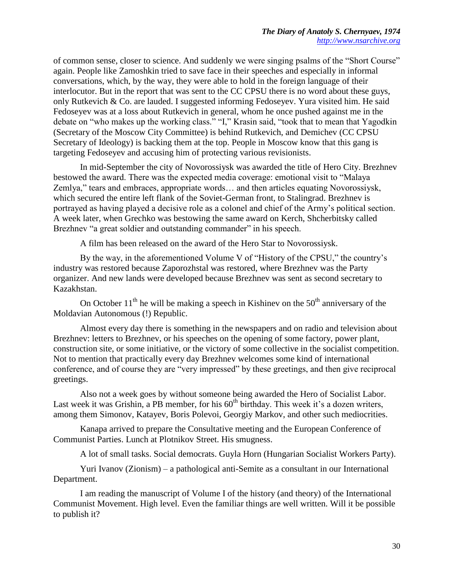of common sense, closer to science. And suddenly we were singing psalms of the "Short Course" again. People like Zamoshkin tried to save face in their speeches and especially in informal conversations, which, by the way, they were able to hold in the foreign language of their interlocutor. But in the report that was sent to the CC CPSU there is no word about these guys, only Rutkevich & Co. are lauded. I suggested informing Fedoseyev. Yura visited him. He said Fedoseyev was at a loss about Rutkevich in general, whom he once pushed against me in the debate on "who makes up the working class." "I," Krasin said, "took that to mean that Yagodkin (Secretary of the Moscow City Committee) is behind Rutkevich, and Demichev (CC CPSU Secretary of Ideology) is backing them at the top. People in Moscow know that this gang is targeting Fedoseyev and accusing him of protecting various revisionists.

In mid-September the city of Novorossiysk was awarded the title of Hero City. Brezhnev bestowed the award. There was the expected media coverage: emotional visit to "Malaya Zemlya," tears and embraces, appropriate words… and then articles equating Novorossiysk, which secured the entire left flank of the Soviet-German front, to Stalingrad. Brezhnev is portrayed as having played a decisive role as a colonel and chief of the Army's political section. A week later, when Grechko was bestowing the same award on Kerch, Shcherbitsky called Brezhnev "a great soldier and outstanding commander" in his speech.

A film has been released on the award of the Hero Star to Novorossiysk.

By the way, in the aforementioned Volume V of "History of the CPSU," the country's industry was restored because Zaporozhstal was restored, where Brezhnev was the Party organizer. And new lands were developed because Brezhnev was sent as second secretary to Kazakhstan.

On October  $11<sup>th</sup>$  he will be making a speech in Kishinev on the  $50<sup>th</sup>$  anniversary of the Moldavian Autonomous (!) Republic.

Almost every day there is something in the newspapers and on radio and television about Brezhnev: letters to Brezhnev, or his speeches on the opening of some factory, power plant, construction site, or some initiative, or the victory of some collective in the socialist competition. Not to mention that practically every day Brezhnev welcomes some kind of international conference, and of course they are "very impressed" by these greetings, and then give reciprocal greetings.

Also not a week goes by without someone being awarded the Hero of Socialist Labor. Last week it was Grishin, a PB member, for his  $60<sup>th</sup>$  birthday. This week it's a dozen writers. among them Simonov, Katayev, Boris Polevoi, Georgiy Markov, and other such mediocrities.

Kanapa arrived to prepare the Consultative meeting and the European Conference of Communist Parties. Lunch at Plotnikov Street. His smugness.

A lot of small tasks. Social democrats. Guyla Horn (Hungarian Socialist Workers Party).

Yuri Ivanov (Zionism) – a pathological anti-Semite as a consultant in our International Department.

I am reading the manuscript of Volume I of the history (and theory) of the International Communist Movement. High level. Even the familiar things are well written. Will it be possible to publish it?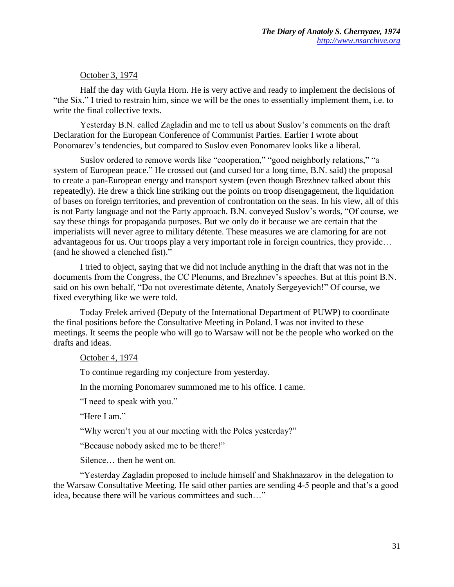## October 3, 1974

Half the day with Guyla Horn. He is very active and ready to implement the decisions of "the Six." I tried to restrain him, since we will be the ones to essentially implement them, i.e. to write the final collective texts.

Yesterday B.N. called Zagladin and me to tell us about Suslov's comments on the draft Declaration for the European Conference of Communist Parties. Earlier I wrote about Ponomarev's tendencies, but compared to Suslov even Ponomarev looks like a liberal.

Suslov ordered to remove words like "cooperation," "good neighborly relations," "a system of European peace." He crossed out (and cursed for a long time, B.N. said) the proposal to create a pan-European energy and transport system (even though Brezhnev talked about this repeatedly). He drew a thick line striking out the points on troop disengagement, the liquidation of bases on foreign territories, and prevention of confrontation on the seas. In his view, all of this is not Party language and not the Party approach. B.N. conveyed Suslov's words, "Of course, we say these things for propaganda purposes. But we only do it because we are certain that the imperialists will never agree to military détente. These measures we are clamoring for are not advantageous for us. Our troops play a very important role in foreign countries, they provide… (and he showed a clenched fist)."

I tried to object, saying that we did not include anything in the draft that was not in the documents from the Congress, the CC Plenums, and Brezhnev's speeches. But at this point B.N. said on his own behalf, "Do not overestimate détente, Anatoly Sergeyevich!" Of course, we fixed everything like we were told.

Today Frelek arrived (Deputy of the International Department of PUWP) to coordinate the final positions before the Consultative Meeting in Poland. I was not invited to these meetings. It seems the people who will go to Warsaw will not be the people who worked on the drafts and ideas.

## October 4, 1974

To continue regarding my conjecture from yesterday.

In the morning Ponomarev summoned me to his office. I came.

"I need to speak with you."

"Here I am."

"Why weren't you at our meeting with the Poles yesterday?"

"Because nobody asked me to be there!"

Silence… then he went on.

"Yesterday Zagladin proposed to include himself and Shakhnazarov in the delegation to the Warsaw Consultative Meeting. He said other parties are sending 4-5 people and that's a good idea, because there will be various committees and such…"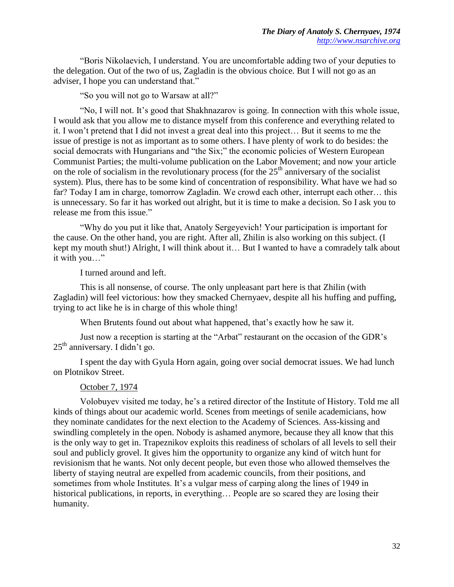"Boris Nikolaevich, I understand. You are uncomfortable adding two of your deputies to the delegation. Out of the two of us, Zagladin is the obvious choice. But I will not go as an adviser, I hope you can understand that."

"So you will not go to Warsaw at all?"

"No, I will not. It's good that Shakhnazarov is going. In connection with this whole issue, I would ask that you allow me to distance myself from this conference and everything related to it. I won't pretend that I did not invest a great deal into this project… But it seems to me the issue of prestige is not as important as to some others. I have plenty of work to do besides: the social democrats with Hungarians and "the Six;" the economic policies of Western European Communist Parties; the multi-volume publication on the Labor Movement; and now your article on the role of socialism in the revolutionary process (for the  $25<sup>th</sup>$  anniversary of the socialist system). Plus, there has to be some kind of concentration of responsibility. What have we had so far? Today I am in charge, tomorrow Zagladin. We crowd each other, interrupt each other… this is unnecessary. So far it has worked out alright, but it is time to make a decision. So I ask you to release me from this issue."

"Why do you put it like that, Anatoly Sergeyevich! Your participation is important for the cause. On the other hand, you are right. After all, Zhilin is also working on this subject. (I kept my mouth shut!) Alright, I will think about it… But I wanted to have a comradely talk about it with you…"

I turned around and left.

This is all nonsense, of course. The only unpleasant part here is that Zhilin (with Zagladin) will feel victorious: how they smacked Chernyaev, despite all his huffing and puffing, trying to act like he is in charge of this whole thing!

When Brutents found out about what happened, that's exactly how he saw it.

Just now a reception is starting at the "Arbat" restaurant on the occasion of the GDR's  $25<sup>th</sup>$  anniversary. I didn't go.

I spent the day with Gyula Horn again, going over social democrat issues. We had lunch on Plotnikov Street.

#### October 7, 1974

Volobuyev visited me today, he's a retired director of the Institute of History. Told me all kinds of things about our academic world. Scenes from meetings of senile academicians, how they nominate candidates for the next election to the Academy of Sciences. Ass-kissing and swindling completely in the open. Nobody is ashamed anymore, because they all know that this is the only way to get in. Trapeznikov exploits this readiness of scholars of all levels to sell their soul and publicly grovel. It gives him the opportunity to organize any kind of witch hunt for revisionism that he wants. Not only decent people, but even those who allowed themselves the liberty of staying neutral are expelled from academic councils, from their positions, and sometimes from whole Institutes. It's a vulgar mess of carping along the lines of 1949 in historical publications, in reports, in everything... People are so scared they are losing their humanity.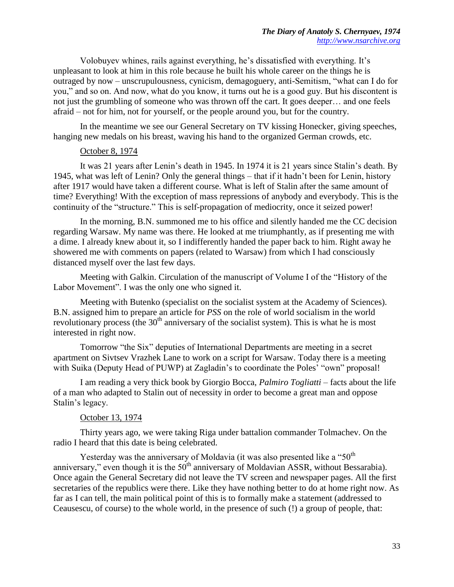Volobuyev whines, rails against everything, he's dissatisfied with everything. It's unpleasant to look at him in this role because he built his whole career on the things he is outraged by now – unscrupulousness, cynicism, demagoguery, anti-Semitism, "what can I do for you," and so on. And now, what do you know, it turns out he is a good guy. But his discontent is not just the grumbling of someone who was thrown off the cart. It goes deeper… and one feels afraid – not for him, not for yourself, or the people around you, but for the country.

In the meantime we see our General Secretary on TV kissing Honecker, giving speeches, hanging new medals on his breast, waving his hand to the organized German crowds, etc.

#### October 8, 1974

It was 21 years after Lenin's death in 1945. In 1974 it is 21 years since Stalin's death. By 1945, what was left of Lenin? Only the general things – that if it hadn't been for Lenin, history after 1917 would have taken a different course. What is left of Stalin after the same amount of time? Everything! With the exception of mass repressions of anybody and everybody. This is the continuity of the "structure." This is self-propagation of mediocrity, once it seized power!

In the morning, B.N. summoned me to his office and silently handed me the CC decision regarding Warsaw. My name was there. He looked at me triumphantly, as if presenting me with a dime. I already knew about it, so I indifferently handed the paper back to him. Right away he showered me with comments on papers (related to Warsaw) from which I had consciously distanced myself over the last few days.

Meeting with Galkin. Circulation of the manuscript of Volume I of the "History of the Labor Movement". I was the only one who signed it.

Meeting with Butenko (specialist on the socialist system at the Academy of Sciences). B.N. assigned him to prepare an article for *PSS* on the role of world socialism in the world revolutionary process (the  $30<sup>th</sup>$  anniversary of the socialist system). This is what he is most interested in right now.

Tomorrow "the Six" deputies of International Departments are meeting in a secret apartment on Sivtsev Vrazhek Lane to work on a script for Warsaw. Today there is a meeting with Suika (Deputy Head of PUWP) at Zagladin's to coordinate the Poles' "own" proposal!

I am reading a very thick book by Giorgio Bocca, *Palmiro Togliatti* – facts about the life of a man who adapted to Stalin out of necessity in order to become a great man and oppose Stalin's legacy.

#### October 13, 1974

Thirty years ago, we were taking Riga under battalion commander Tolmachev. On the radio I heard that this date is being celebrated.

Yesterday was the anniversary of Moldavia (it was also presented like a "50<sup>th</sup>" anniversary," even though it is the  $50<sup>th</sup>$  anniversary of Moldavian ASSR, without Bessarabia). Once again the General Secretary did not leave the TV screen and newspaper pages. All the first secretaries of the republics were there. Like they have nothing better to do at home right now. As far as I can tell, the main political point of this is to formally make a statement (addressed to Ceausescu, of course) to the whole world, in the presence of such (!) a group of people, that: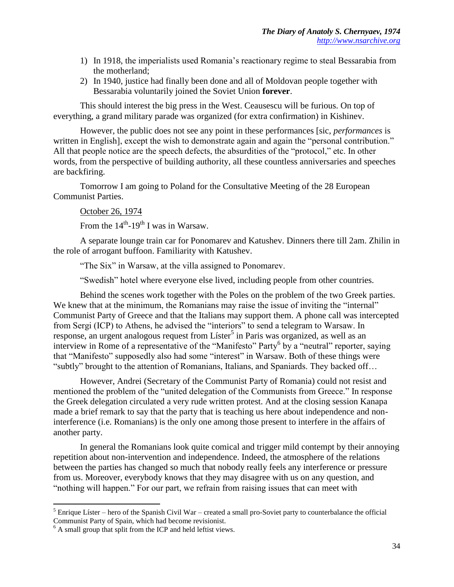- 1) In 1918, the imperialists used Romania's reactionary regime to steal Bessarabia from the motherland;
- 2) In 1940, justice had finally been done and all of Moldovan people together with Bessarabia voluntarily joined the Soviet Union **forever**.

This should interest the big press in the West. Ceausescu will be furious. On top of everything, a grand military parade was organized (for extra confirmation) in Kishinev.

However, the public does not see any point in these performances [sic, *performances* is written in English], except the wish to demonstrate again and again the "personal contribution." All that people notice are the speech defects, the absurdities of the "protocol," etc. In other words, from the perspective of building authority, all these countless anniversaries and speeches are backfiring.

Tomorrow I am going to Poland for the Consultative Meeting of the 28 European Communist Parties.

## October 26, 1974

From the  $14<sup>th</sup>$ -19<sup>th</sup> I was in Warsaw.

A separate lounge train car for Ponomarev and Katushev. Dinners there till 2am. Zhilin in the role of arrogant buffoon. Familiarity with Katushev.

"The Six" in Warsaw, at the villa assigned to Ponomarev.

"Swedish" hotel where everyone else lived, including people from other countries.

Behind the scenes work together with the Poles on the problem of the two Greek parties. We knew that at the minimum, the Romanians may raise the issue of inviting the "internal" Communist Party of Greece and that the Italians may support them. A phone call was intercepted from Sergi (ICP) to Athens, he advised the "interiors" to send a telegram to Warsaw. In  $r$ esponse, an urgent analogous request from Líster<sup>5</sup> in Paris was organized, as well as an interview in Rome of a representative of the "Manifesto" Party<sup>6</sup> by a "neutral" reporter, saying that "Manifesto" supposedly also had some "interest" in Warsaw. Both of these things were "subtly" brought to the attention of Romanians, Italians, and Spaniards. They backed off…

However, Andrei (Secretary of the Communist Party of Romania) could not resist and mentioned the problem of the "united delegation of the Communists from Greece." In response the Greek delegation circulated a very rude written protest. And at the closing session Kanapa made a brief remark to say that the party that is teaching us here about independence and noninterference (i.e. Romanians) is the only one among those present to interfere in the affairs of another party.

In general the Romanians look quite comical and trigger mild contempt by their annoying repetition about non-intervention and independence. Indeed, the atmosphere of the relations between the parties has changed so much that nobody really feels any interference or pressure from us. Moreover, everybody knows that they may disagree with us on any question, and "nothing will happen." For our part, we refrain from raising issues that can meet with

 $\overline{\phantom{a}}$  $<sup>5</sup>$  Enrique Líster – hero of the Spanish Civil War – created a small pro-Soviet party to counterbalance the official</sup> Communist Party of Spain, which had become revisionist.

 $<sup>6</sup>$  A small group that split from the ICP and held leftist views.</sup>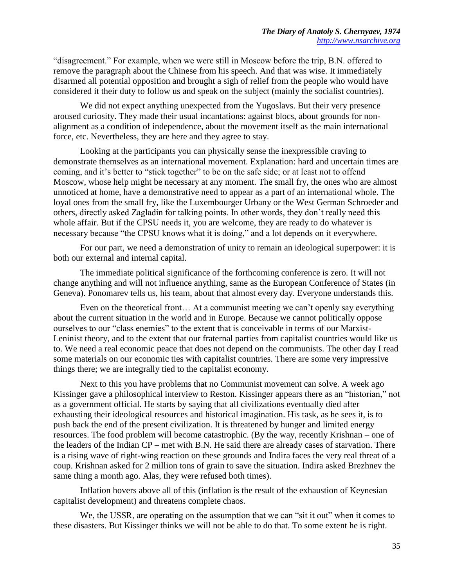"disagreement." For example, when we were still in Moscow before the trip, B.N. offered to remove the paragraph about the Chinese from his speech. And that was wise. It immediately disarmed all potential opposition and brought a sigh of relief from the people who would have considered it their duty to follow us and speak on the subject (mainly the socialist countries).

We did not expect anything unexpected from the Yugoslavs. But their very presence aroused curiosity. They made their usual incantations: against blocs, about grounds for nonalignment as a condition of independence, about the movement itself as the main international force, etc. Nevertheless, they are here and they agree to stay.

Looking at the participants you can physically sense the inexpressible craving to demonstrate themselves as an international movement. Explanation: hard and uncertain times are coming, and it's better to "stick together" to be on the safe side; or at least not to offend Moscow, whose help might be necessary at any moment. The small fry, the ones who are almost unnoticed at home, have a demonstrative need to appear as a part of an international whole. The loyal ones from the small fry, like the Luxembourger Urbany or the West German Schroeder and others, directly asked Zagladin for talking points. In other words, they don't really need this whole affair. But if the CPSU needs it, you are welcome, they are ready to do whatever is necessary because "the CPSU knows what it is doing," and a lot depends on it everywhere.

For our part, we need a demonstration of unity to remain an ideological superpower: it is both our external and internal capital.

The immediate political significance of the forthcoming conference is zero. It will not change anything and will not influence anything, same as the European Conference of States (in Geneva). Ponomarev tells us, his team, about that almost every day. Everyone understands this.

Even on the theoretical front… At a communist meeting we can't openly say everything about the current situation in the world and in Europe. Because we cannot politically oppose ourselves to our "class enemies" to the extent that is conceivable in terms of our Marxist-Leninist theory, and to the extent that our fraternal parties from capitalist countries would like us to. We need a real economic peace that does not depend on the communists. The other day I read some materials on our economic ties with capitalist countries. There are some very impressive things there; we are integrally tied to the capitalist economy.

Next to this you have problems that no Communist movement can solve. A week ago Kissinger gave a philosophical interview to Reston. Kissinger appears there as an "historian," not as a government official. He starts by saying that all civilizations eventually died after exhausting their ideological resources and historical imagination. His task, as he sees it, is to push back the end of the present civilization. It is threatened by hunger and limited energy resources. The food problem will become catastrophic. (By the way, recently Krishnan – one of the leaders of the Indian CP – met with B.N. He said there are already cases of starvation. There is a rising wave of right-wing reaction on these grounds and Indira faces the very real threat of a coup. Krishnan asked for 2 million tons of grain to save the situation. Indira asked Brezhnev the same thing a month ago. Alas, they were refused both times).

Inflation hovers above all of this (inflation is the result of the exhaustion of Keynesian capitalist development) and threatens complete chaos.

We, the USSR, are operating on the assumption that we can "sit it out" when it comes to these disasters. But Kissinger thinks we will not be able to do that. To some extent he is right.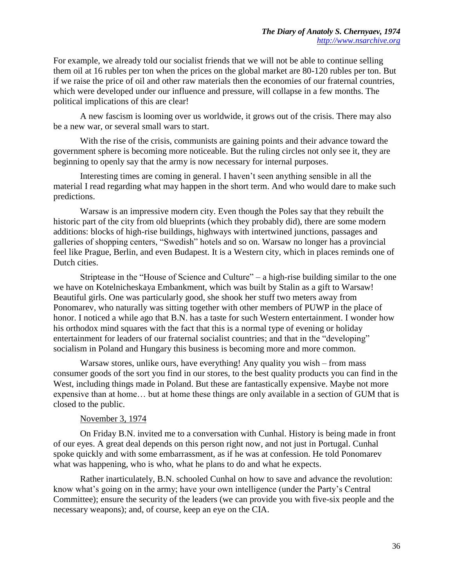For example, we already told our socialist friends that we will not be able to continue selling them oil at 16 rubles per ton when the prices on the global market are 80-120 rubles per ton. But if we raise the price of oil and other raw materials then the economies of our fraternal countries, which were developed under our influence and pressure, will collapse in a few months. The political implications of this are clear!

A new fascism is looming over us worldwide, it grows out of the crisis. There may also be a new war, or several small wars to start.

With the rise of the crisis, communists are gaining points and their advance toward the government sphere is becoming more noticeable. But the ruling circles not only see it, they are beginning to openly say that the army is now necessary for internal purposes.

Interesting times are coming in general. I haven't seen anything sensible in all the material I read regarding what may happen in the short term. And who would dare to make such predictions.

Warsaw is an impressive modern city. Even though the Poles say that they rebuilt the historic part of the city from old blueprints (which they probably did), there are some modern additions: blocks of high-rise buildings, highways with intertwined junctions, passages and galleries of shopping centers, "Swedish" hotels and so on. Warsaw no longer has a provincial feel like Prague, Berlin, and even Budapest. It is a Western city, which in places reminds one of Dutch cities.

Striptease in the "House of Science and Culture" – a high-rise building similar to the one we have on Kotelnicheskaya Embankment, which was built by Stalin as a gift to Warsaw! Beautiful girls. One was particularly good, she shook her stuff two meters away from Ponomarev, who naturally was sitting together with other members of PUWP in the place of honor. I noticed a while ago that B.N. has a taste for such Western entertainment. I wonder how his orthodox mind squares with the fact that this is a normal type of evening or holiday entertainment for leaders of our fraternal socialist countries; and that in the "developing" socialism in Poland and Hungary this business is becoming more and more common.

Warsaw stores, unlike ours, have everything! Any quality you wish – from mass consumer goods of the sort you find in our stores, to the best quality products you can find in the West, including things made in Poland. But these are fantastically expensive. Maybe not more expensive than at home… but at home these things are only available in a section of GUM that is closed to the public.

## November 3, 1974

On Friday B.N. invited me to a conversation with Cunhal. History is being made in front of our eyes. A great deal depends on this person right now, and not just in Portugal. Cunhal spoke quickly and with some embarrassment, as if he was at confession. He told Ponomarev what was happening, who is who, what he plans to do and what he expects.

Rather inarticulately, B.N. schooled Cunhal on how to save and advance the revolution: know what's going on in the army; have your own intelligence (under the Party's Central Committee); ensure the security of the leaders (we can provide you with five-six people and the necessary weapons); and, of course, keep an eye on the CIA.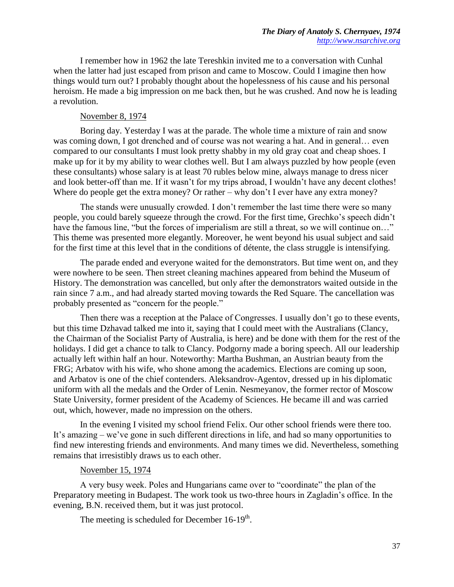I remember how in 1962 the late Tereshkin invited me to a conversation with Cunhal when the latter had just escaped from prison and came to Moscow. Could I imagine then how things would turn out? I probably thought about the hopelessness of his cause and his personal heroism. He made a big impression on me back then, but he was crushed. And now he is leading a revolution.

### November 8, 1974

Boring day. Yesterday I was at the parade. The whole time a mixture of rain and snow was coming down, I got drenched and of course was not wearing a hat. And in general… even compared to our consultants I must look pretty shabby in my old gray coat and cheap shoes. I make up for it by my ability to wear clothes well. But I am always puzzled by how people (even these consultants) whose salary is at least 70 rubles below mine, always manage to dress nicer and look better-off than me. If it wasn't for my trips abroad, I wouldn't have any decent clothes! Where do people get the extra money? Or rather – why don't I ever have any extra money?

The stands were unusually crowded. I don't remember the last time there were so many people, you could barely squeeze through the crowd. For the first time, Grechko's speech didn't have the famous line, "but the forces of imperialism are still a threat, so we will continue on..." This theme was presented more elegantly. Moreover, he went beyond his usual subject and said for the first time at this level that in the conditions of détente, the class struggle is intensifying.

The parade ended and everyone waited for the demonstrators. But time went on, and they were nowhere to be seen. Then street cleaning machines appeared from behind the Museum of History. The demonstration was cancelled, but only after the demonstrators waited outside in the rain since 7 a.m., and had already started moving towards the Red Square. The cancellation was probably presented as "concern for the people."

Then there was a reception at the Palace of Congresses. I usually don't go to these events, but this time Dzhavad talked me into it, saying that I could meet with the Australians (Clancy, the Chairman of the Socialist Party of Australia, is here) and be done with them for the rest of the holidays. I did get a chance to talk to Clancy. Podgorny made a boring speech. All our leadership actually left within half an hour. Noteworthy: Martha Bushman, an Austrian beauty from the FRG; Arbatov with his wife, who shone among the academics. Elections are coming up soon, and Arbatov is one of the chief contenders. Aleksandrov-Agentov, dressed up in his diplomatic uniform with all the medals and the Order of Lenin. Nesmeyanov, the former rector of Moscow State University, former president of the Academy of Sciences. He became ill and was carried out, which, however, made no impression on the others.

In the evening I visited my school friend Felix. Our other school friends were there too. It's amazing – we've gone in such different directions in life, and had so many opportunities to find new interesting friends and environments. And many times we did. Nevertheless, something remains that irresistibly draws us to each other.

#### November 15, 1974

A very busy week. Poles and Hungarians came over to "coordinate" the plan of the Preparatory meeting in Budapest. The work took us two-three hours in Zagladin's office. In the evening, B.N. received them, but it was just protocol.

The meeting is scheduled for December  $16-19^{th}$ .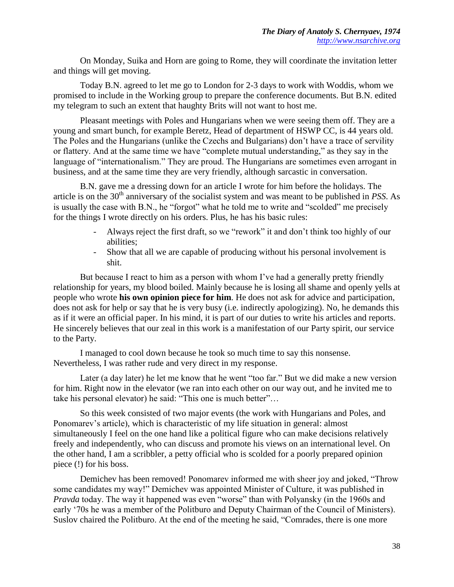On Monday, Suika and Horn are going to Rome, they will coordinate the invitation letter and things will get moving.

Today B.N. agreed to let me go to London for 2-3 days to work with Woddis, whom we promised to include in the Working group to prepare the conference documents. But B.N. edited my telegram to such an extent that haughty Brits will not want to host me.

Pleasant meetings with Poles and Hungarians when we were seeing them off. They are a young and smart bunch, for example Beretz, Head of department of HSWP CC, is 44 years old. The Poles and the Hungarians (unlike the Czechs and Bulgarians) don't have a trace of servility or flattery. And at the same time we have "complete mutual understanding," as they say in the language of "internationalism." They are proud. The Hungarians are sometimes even arrogant in business, and at the same time they are very friendly, although sarcastic in conversation.

B.N. gave me a dressing down for an article I wrote for him before the holidays. The article is on the 30<sup>th</sup> anniversary of the socialist system and was meant to be published in *PSS*. As is usually the case with B.N., he "forgot" what he told me to write and "scolded" me precisely for the things I wrote directly on his orders. Plus, he has his basic rules:

- Always reject the first draft, so we "rework" it and don't think too highly of our abilities;
- Show that all we are capable of producing without his personal involvement is shit.

But because I react to him as a person with whom I've had a generally pretty friendly relationship for years, my blood boiled. Mainly because he is losing all shame and openly yells at people who wrote **his own opinion piece for him**. He does not ask for advice and participation, does not ask for help or say that he is very busy (i.e. indirectly apologizing). No, he demands this as if it were an official paper. In his mind, it is part of our duties to write his articles and reports. He sincerely believes that our zeal in this work is a manifestation of our Party spirit, our service to the Party.

I managed to cool down because he took so much time to say this nonsense. Nevertheless, I was rather rude and very direct in my response.

Later (a day later) he let me know that he went "too far." But we did make a new version for him. Right now in the elevator (we ran into each other on our way out, and he invited me to take his personal elevator) he said: "This one is much better"…

So this week consisted of two major events (the work with Hungarians and Poles, and Ponomarev's article), which is characteristic of my life situation in general: almost simultaneously I feel on the one hand like a political figure who can make decisions relatively freely and independently, who can discuss and promote his views on an international level. On the other hand, I am a scribbler, a petty official who is scolded for a poorly prepared opinion piece (!) for his boss.

Demichev has been removed! Ponomarev informed me with sheer joy and joked, "Throw some candidates my way!" Demichev was appointed Minister of Culture, it was published in *Pravda* today. The way it happened was even "worse" than with Polyansky (in the 1960s and early '70s he was a member of the Politburo and Deputy Chairman of the Council of Ministers). Suslov chaired the Politburo. At the end of the meeting he said, "Comrades, there is one more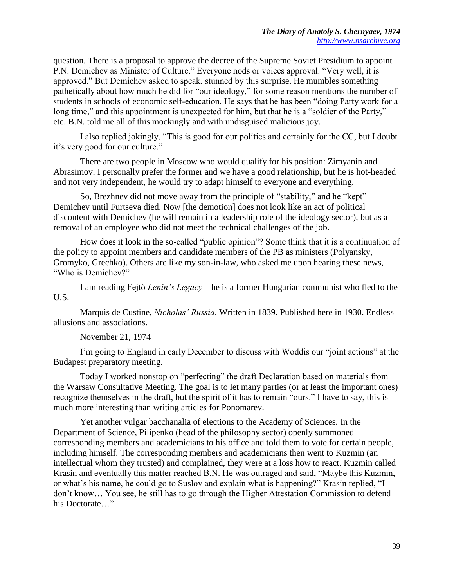question. There is a proposal to approve the decree of the Supreme Soviet Presidium to appoint P.N. Demichev as Minister of Culture." Everyone nods or voices approval. "Very well, it is approved." But Demichev asked to speak, stunned by this surprise. He mumbles something pathetically about how much he did for "our ideology," for some reason mentions the number of students in schools of economic self-education. He says that he has been "doing Party work for a long time," and this appointment is unexpected for him, but that he is a "soldier of the Party," etc. B.N. told me all of this mockingly and with undisguised malicious joy.

I also replied jokingly, "This is good for our politics and certainly for the CC, but I doubt it's very good for our culture."

There are two people in Moscow who would qualify for his position: Zimyanin and Abrasimov. I personally prefer the former and we have a good relationship, but he is hot-headed and not very independent, he would try to adapt himself to everyone and everything.

So, Brezhnev did not move away from the principle of "stability," and he "kept" Demichev until Furtseva died. Now [the demotion] does not look like an act of political discontent with Demichev (he will remain in a leadership role of the ideology sector), but as a removal of an employee who did not meet the technical challenges of the job.

How does it look in the so-called "public opinion"? Some think that it is a continuation of the policy to appoint members and candidate members of the PB as ministers (Polyansky, Gromyko, Grechko). Others are like my son-in-law, who asked me upon hearing these news, "Who is Demichev?"

I am reading Fejtő *Lenin's Legacy* – he is a former Hungarian communist who fled to the U.S.

Marquis de Custine, *Nicholas' Russia*. Written in 1839. Published here in 1930. Endless allusions and associations.

## November 21, 1974

I'm going to England in early December to discuss with Woddis our "joint actions" at the Budapest preparatory meeting.

Today I worked nonstop on "perfecting" the draft Declaration based on materials from the Warsaw Consultative Meeting. The goal is to let many parties (or at least the important ones) recognize themselves in the draft, but the spirit of it has to remain "ours." I have to say, this is much more interesting than writing articles for Ponomarev.

Yet another vulgar bacchanalia of elections to the Academy of Sciences. In the Department of Science, Pilipenko (head of the philosophy sector) openly summoned corresponding members and academicians to his office and told them to vote for certain people, including himself. The corresponding members and academicians then went to Kuzmin (an intellectual whom they trusted) and complained, they were at a loss how to react. Kuzmin called Krasin and eventually this matter reached B.N. He was outraged and said, "Maybe this Kuzmin, or what's his name, he could go to Suslov and explain what is happening?" Krasin replied, "I don't know… You see, he still has to go through the Higher Attestation Commission to defend his Doctorate..."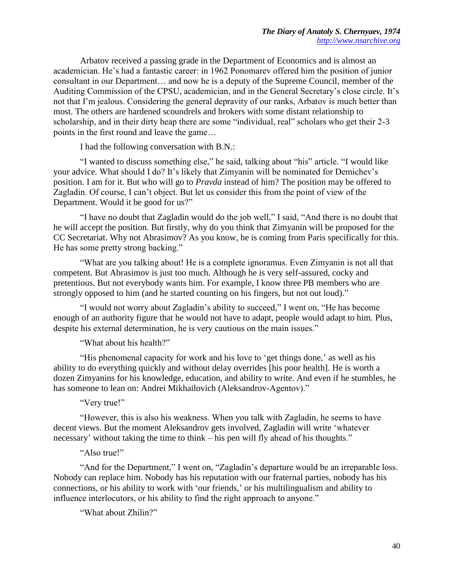Arbatov received a passing grade in the Department of Economics and is almost an academician. He's had a fantastic career: in 1962 Ponomarev offered him the position of junior consultant in our Department… and now he is a deputy of the Supreme Council, member of the Auditing Commission of the CPSU, academician, and in the General Secretary's close circle. It's not that I'm jealous. Considering the general depravity of our ranks, Arbatov is much better than most. The others are hardened scoundrels and brokers with some distant relationship to scholarship, and in their dirty heap there are some "individual, real" scholars who get their 2-3 points in the first round and leave the game…

I had the following conversation with B.N.:

"I wanted to discuss something else," he said, talking about "his" article. "I would like your advice. What should I do? It's likely that Zimyanin will be nominated for Demichev's position. I am for it. But who will go to *Pravda* instead of him? The position may be offered to Zagladin. Of course, I can't object. But let us consider this from the point of view of the Department. Would it be good for us?"

"I have no doubt that Zagladin would do the job well," I said, "And there is no doubt that he will accept the position. But firstly, why do you think that Zimyanin will be proposed for the CC Secretariat. Why not Abrasimov? As you know, he is coming from Paris specifically for this. He has some pretty strong backing."

"What are you talking about! He is a complete ignoramus. Even Zimyanin is not all that competent. But Abrasimov is just too much. Although he is very self-assured, cocky and pretentious. But not everybody wants him. For example, I know three PB members who are strongly opposed to him (and he started counting on his fingers, but not out loud)."

"I would not worry about Zagladin's ability to succeed," I went on, "He has become enough of an authority figure that he would not have to adapt, people would adapt to him. Plus, despite his external determination, he is very cautious on the main issues."

"What about his health?"

"His phenomenal capacity for work and his love to 'get things done,' as well as his ability to do everything quickly and without delay overrides [his poor health]. He is worth a dozen Zimyanins for his knowledge, education, and ability to write. And even if he stumbles, he has someone to lean on: Andrei Mikhailovich (Aleksandrov-Agentov)."

## "Very true!"

"However, this is also his weakness. When you talk with Zagladin, he seems to have decent views. But the moment Aleksandrov gets involved, Zagladin will write 'whatever necessary' without taking the time to think – his pen will fly ahead of his thoughts."

#### "Also true!"

"And for the Department," I went on, "Zagladin's departure would be an irreparable loss. Nobody can replace him. Nobody has his reputation with our fraternal parties, nobody has his connections, or his ability to work with 'our friends,' or his multilingualism and ability to influence interlocutors, or his ability to find the right approach to anyone."

"What about Zhilin?"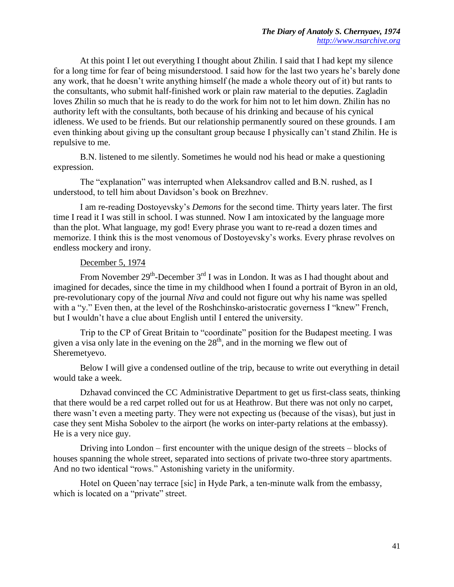At this point I let out everything I thought about Zhilin. I said that I had kept my silence for a long time for fear of being misunderstood. I said how for the last two years he's barely done any work, that he doesn't write anything himself (he made a whole theory out of it) but rants to the consultants, who submit half-finished work or plain raw material to the deputies. Zagladin loves Zhilin so much that he is ready to do the work for him not to let him down. Zhilin has no authority left with the consultants, both because of his drinking and because of his cynical idleness. We used to be friends. But our relationship permanently soured on these grounds. I am even thinking about giving up the consultant group because I physically can't stand Zhilin. He is repulsive to me.

B.N. listened to me silently. Sometimes he would nod his head or make a questioning expression.

The "explanation" was interrupted when Aleksandrov called and B.N. rushed, as I understood, to tell him about Davidson's book on Brezhnev.

I am re-reading Dostoyevsky's *Demons* for the second time. Thirty years later. The first time I read it I was still in school. I was stunned. Now I am intoxicated by the language more than the plot. What language, my god! Every phrase you want to re-read a dozen times and memorize. I think this is the most venomous of Dostoyevsky's works. Every phrase revolves on endless mockery and irony.

## December 5, 1974

From November  $29^{th}$ -December  $3^{rd}$  I was in London. It was as I had thought about and imagined for decades, since the time in my childhood when I found a portrait of Byron in an old, pre-revolutionary copy of the journal *Niva* and could not figure out why his name was spelled with a "y." Even then, at the level of the Roshchinsko-aristocratic governess I "knew" French, but I wouldn't have a clue about English until I entered the university.

Trip to the CP of Great Britain to "coordinate" position for the Budapest meeting. I was given a visa only late in the evening on the  $28<sup>th</sup>$ , and in the morning we flew out of Sheremetyevo.

Below I will give a condensed outline of the trip, because to write out everything in detail would take a week.

Dzhavad convinced the CC Administrative Department to get us first-class seats, thinking that there would be a red carpet rolled out for us at Heathrow. But there was not only no carpet, there wasn't even a meeting party. They were not expecting us (because of the visas), but just in case they sent Misha Sobolev to the airport (he works on inter-party relations at the embassy). He is a very nice guy.

Driving into London – first encounter with the unique design of the streets – blocks of houses spanning the whole street, separated into sections of private two-three story apartments. And no two identical "rows." Astonishing variety in the uniformity.

Hotel on Queen'nay terrace [sic] in Hyde Park, a ten-minute walk from the embassy, which is located on a "private" street.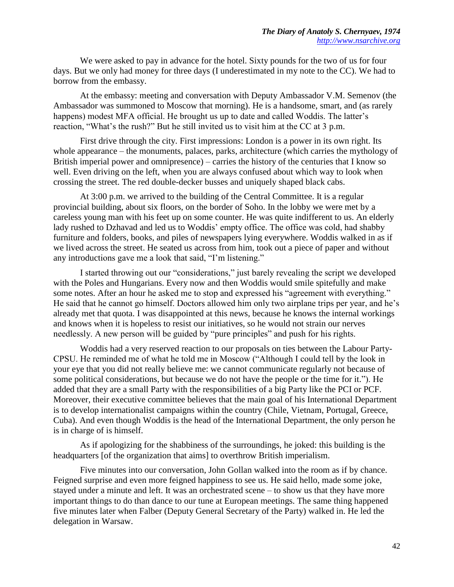We were asked to pay in advance for the hotel. Sixty pounds for the two of us for four days. But we only had money for three days (I underestimated in my note to the CC). We had to borrow from the embassy.

At the embassy: meeting and conversation with Deputy Ambassador V.M. Semenov (the Ambassador was summoned to Moscow that morning). He is a handsome, smart, and (as rarely happens) modest MFA official. He brought us up to date and called Woddis. The latter's reaction, "What's the rush?" But he still invited us to visit him at the CC at 3 p.m.

First drive through the city. First impressions: London is a power in its own right. Its whole appearance – the monuments, palaces, parks, architecture (which carries the mythology of British imperial power and omnipresence) – carries the history of the centuries that I know so well. Even driving on the left, when you are always confused about which way to look when crossing the street. The red double-decker busses and uniquely shaped black cabs.

At 3:00 p.m. we arrived to the building of the Central Committee. It is a regular provincial building, about six floors, on the border of Soho. In the lobby we were met by a careless young man with his feet up on some counter. He was quite indifferent to us. An elderly lady rushed to Dzhavad and led us to Woddis' empty office. The office was cold, had shabby furniture and folders, books, and piles of newspapers lying everywhere. Woddis walked in as if we lived across the street. He seated us across from him, took out a piece of paper and without any introductions gave me a look that said, "I'm listening."

I started throwing out our "considerations," just barely revealing the script we developed with the Poles and Hungarians. Every now and then Woddis would smile spitefully and make some notes. After an hour he asked me to stop and expressed his "agreement with everything." He said that he cannot go himself. Doctors allowed him only two airplane trips per year, and he's already met that quota. I was disappointed at this news, because he knows the internal workings and knows when it is hopeless to resist our initiatives, so he would not strain our nerves needlessly. A new person will be guided by "pure principles" and push for his rights.

Woddis had a very reserved reaction to our proposals on ties between the Labour Party-CPSU. He reminded me of what he told me in Moscow ("Although I could tell by the look in your eye that you did not really believe me: we cannot communicate regularly not because of some political considerations, but because we do not have the people or the time for it."). He added that they are a small Party with the responsibilities of a big Party like the PCI or PCF. Moreover, their executive committee believes that the main goal of his International Department is to develop internationalist campaigns within the country (Chile, Vietnam, Portugal, Greece, Cuba). And even though Woddis is the head of the International Department, the only person he is in charge of is himself.

As if apologizing for the shabbiness of the surroundings, he joked: this building is the headquarters [of the organization that aims] to overthrow British imperialism.

Five minutes into our conversation, John Gollan walked into the room as if by chance. Feigned surprise and even more feigned happiness to see us. He said hello, made some joke, stayed under a minute and left. It was an orchestrated scene – to show us that they have more important things to do than dance to our tune at European meetings. The same thing happened five minutes later when Falber (Deputy General Secretary of the Party) walked in. He led the delegation in Warsaw.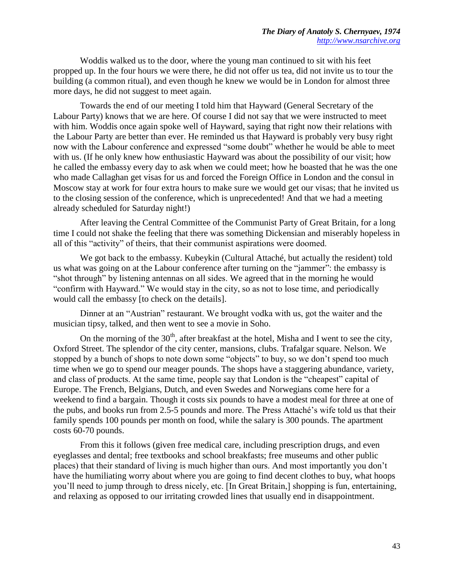Woddis walked us to the door, where the young man continued to sit with his feet propped up. In the four hours we were there, he did not offer us tea, did not invite us to tour the building (a common ritual), and even though he knew we would be in London for almost three more days, he did not suggest to meet again.

Towards the end of our meeting I told him that Hayward (General Secretary of the Labour Party) knows that we are here. Of course I did not say that we were instructed to meet with him. Woddis once again spoke well of Hayward, saying that right now their relations with the Labour Party are better than ever. He reminded us that Hayward is probably very busy right now with the Labour conference and expressed "some doubt" whether he would be able to meet with us. (If he only knew how enthusiastic Hayward was about the possibility of our visit; how he called the embassy every day to ask when we could meet; how he boasted that he was the one who made Callaghan get visas for us and forced the Foreign Office in London and the consul in Moscow stay at work for four extra hours to make sure we would get our visas; that he invited us to the closing session of the conference, which is unprecedented! And that we had a meeting already scheduled for Saturday night!)

After leaving the Central Committee of the Communist Party of Great Britain, for a long time I could not shake the feeling that there was something Dickensian and miserably hopeless in all of this "activity" of theirs, that their communist aspirations were doomed.

We got back to the embassy. Kubeykin (Cultural Attaché, but actually the resident) told us what was going on at the Labour conference after turning on the "jammer": the embassy is "shot through" by listening antennas on all sides. We agreed that in the morning he would "confirm with Hayward." We would stay in the city, so as not to lose time, and periodically would call the embassy [to check on the details].

Dinner at an "Austrian" restaurant. We brought vodka with us, got the waiter and the musician tipsy, talked, and then went to see a movie in Soho.

On the morning of the  $30<sup>th</sup>$ , after breakfast at the hotel, Misha and I went to see the city, Oxford Street. The splendor of the city center, mansions, clubs. Trafalgar square. Nelson. We stopped by a bunch of shops to note down some "objects" to buy, so we don't spend too much time when we go to spend our meager pounds. The shops have a staggering abundance, variety, and class of products. At the same time, people say that London is the "cheapest" capital of Europe. The French, Belgians, Dutch, and even Swedes and Norwegians come here for a weekend to find a bargain. Though it costs six pounds to have a modest meal for three at one of the pubs, and books run from 2.5-5 pounds and more. The Press Attaché's wife told us that their family spends 100 pounds per month on food, while the salary is 300 pounds. The apartment costs 60-70 pounds.

From this it follows (given free medical care, including prescription drugs, and even eyeglasses and dental; free textbooks and school breakfasts; free museums and other public places) that their standard of living is much higher than ours. And most importantly you don't have the humiliating worry about where you are going to find decent clothes to buy, what hoops you'll need to jump through to dress nicely, etc. [In Great Britain,] shopping is fun, entertaining, and relaxing as opposed to our irritating crowded lines that usually end in disappointment.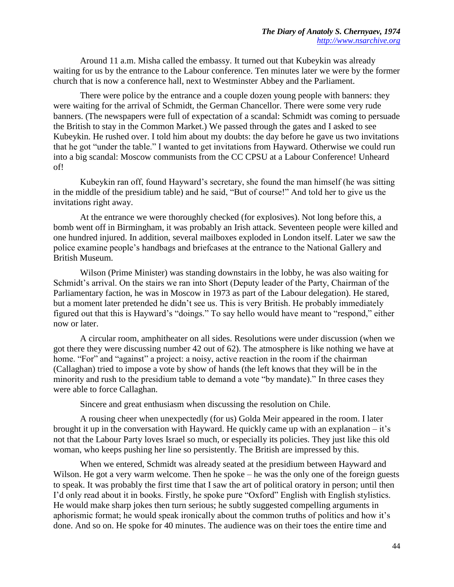Around 11 a.m. Misha called the embassy. It turned out that Kubeykin was already waiting for us by the entrance to the Labour conference. Ten minutes later we were by the former church that is now a conference hall, next to Westminster Abbey and the Parliament.

There were police by the entrance and a couple dozen young people with banners: they were waiting for the arrival of Schmidt, the German Chancellor. There were some very rude banners. (The newspapers were full of expectation of a scandal: Schmidt was coming to persuade the British to stay in the Common Market.) We passed through the gates and I asked to see Kubeykin. He rushed over. I told him about my doubts: the day before he gave us two invitations that he got "under the table." I wanted to get invitations from Hayward. Otherwise we could run into a big scandal: Moscow communists from the CC CPSU at a Labour Conference! Unheard of!

Kubeykin ran off, found Hayward's secretary, she found the man himself (he was sitting in the middle of the presidium table) and he said, "But of course!" And told her to give us the invitations right away.

At the entrance we were thoroughly checked (for explosives). Not long before this, a bomb went off in Birmingham, it was probably an Irish attack. Seventeen people were killed and one hundred injured. In addition, several mailboxes exploded in London itself. Later we saw the police examine people's handbags and briefcases at the entrance to the National Gallery and British Museum.

Wilson (Prime Minister) was standing downstairs in the lobby, he was also waiting for Schmidt's arrival. On the stairs we ran into Short (Deputy leader of the Party, Chairman of the Parliamentary faction, he was in Moscow in 1973 as part of the Labour delegation). He stared, but a moment later pretended he didn't see us. This is very British. He probably immediately figured out that this is Hayward's "doings." To say hello would have meant to "respond," either now or later.

A circular room, amphitheater on all sides. Resolutions were under discussion (when we got there they were discussing number 42 out of 62). The atmosphere is like nothing we have at home. "For" and "against" a project: a noisy, active reaction in the room if the chairman (Callaghan) tried to impose a vote by show of hands (the left knows that they will be in the minority and rush to the presidium table to demand a vote "by mandate)." In three cases they were able to force Callaghan.

Sincere and great enthusiasm when discussing the resolution on Chile.

A rousing cheer when unexpectedly (for us) Golda Meir appeared in the room. I later brought it up in the conversation with Hayward. He quickly came up with an explanation – it's not that the Labour Party loves Israel so much, or especially its policies. They just like this old woman, who keeps pushing her line so persistently. The British are impressed by this.

When we entered, Schmidt was already seated at the presidium between Hayward and Wilson. He got a very warm welcome. Then he spoke – he was the only one of the foreign guests to speak. It was probably the first time that I saw the art of political oratory in person; until then I'd only read about it in books. Firstly, he spoke pure "Oxford" English with English stylistics. He would make sharp jokes then turn serious; he subtly suggested compelling arguments in aphorismic format; he would speak ironically about the common truths of politics and how it's done. And so on. He spoke for 40 minutes. The audience was on their toes the entire time and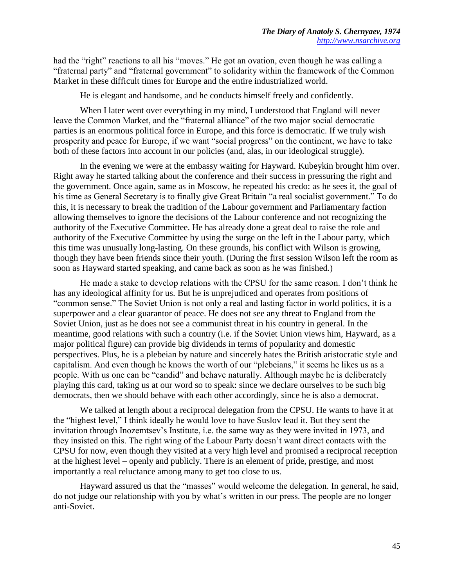had the "right" reactions to all his "moves." He got an ovation, even though he was calling a "fraternal party" and "fraternal government" to solidarity within the framework of the Common Market in these difficult times for Europe and the entire industrialized world.

He is elegant and handsome, and he conducts himself freely and confidently.

When I later went over everything in my mind, I understood that England will never leave the Common Market, and the "fraternal alliance" of the two major social democratic parties is an enormous political force in Europe, and this force is democratic. If we truly wish prosperity and peace for Europe, if we want "social progress" on the continent, we have to take both of these factors into account in our policies (and, alas, in our ideological struggle).

In the evening we were at the embassy waiting for Hayward. Kubeykin brought him over. Right away he started talking about the conference and their success in pressuring the right and the government. Once again, same as in Moscow, he repeated his credo: as he sees it, the goal of his time as General Secretary is to finally give Great Britain "a real socialist government." To do this, it is necessary to break the tradition of the Labour government and Parliamentary faction allowing themselves to ignore the decisions of the Labour conference and not recognizing the authority of the Executive Committee. He has already done a great deal to raise the role and authority of the Executive Committee by using the surge on the left in the Labour party, which this time was unusually long-lasting. On these grounds, his conflict with Wilson is growing, though they have been friends since their youth. (During the first session Wilson left the room as soon as Hayward started speaking, and came back as soon as he was finished.)

He made a stake to develop relations with the CPSU for the same reason. I don't think he has any ideological affinity for us. But he is unprejudiced and operates from positions of "common sense." The Soviet Union is not only a real and lasting factor in world politics, it is a superpower and a clear guarantor of peace. He does not see any threat to England from the Soviet Union, just as he does not see a communist threat in his country in general. In the meantime, good relations with such a country (i.e. if the Soviet Union views him, Hayward, as a major political figure) can provide big dividends in terms of popularity and domestic perspectives. Plus, he is a plebeian by nature and sincerely hates the British aristocratic style and capitalism. And even though he knows the worth of our "plebeians," it seems he likes us as a people. With us one can be "candid" and behave naturally. Although maybe he is deliberately playing this card, taking us at our word so to speak: since we declare ourselves to be such big democrats, then we should behave with each other accordingly, since he is also a democrat.

We talked at length about a reciprocal delegation from the CPSU. He wants to have it at the "highest level," I think ideally he would love to have Suslov lead it. But they sent the invitation through Inozemtsev's Institute, i.e. the same way as they were invited in 1973, and they insisted on this. The right wing of the Labour Party doesn't want direct contacts with the CPSU for now, even though they visited at a very high level and promised a reciprocal reception at the highest level – openly and publicly. There is an element of pride, prestige, and most importantly a real reluctance among many to get too close to us.

Hayward assured us that the "masses" would welcome the delegation. In general, he said, do not judge our relationship with you by what's written in our press. The people are no longer anti-Soviet.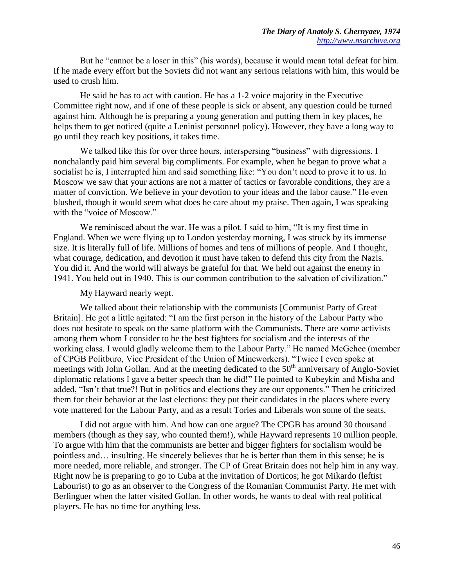But he "cannot be a loser in this" (his words), because it would mean total defeat for him. If he made every effort but the Soviets did not want any serious relations with him, this would be used to crush him.

He said he has to act with caution. He has a 1-2 voice majority in the Executive Committee right now, and if one of these people is sick or absent, any question could be turned against him. Although he is preparing a young generation and putting them in key places, he helps them to get noticed (quite a Leninist personnel policy). However, they have a long way to go until they reach key positions, it takes time.

We talked like this for over three hours, interspersing "business" with digressions. I nonchalantly paid him several big compliments. For example, when he began to prove what a socialist he is, I interrupted him and said something like: "You don't need to prove it to us. In Moscow we saw that your actions are not a matter of tactics or favorable conditions, they are a matter of conviction. We believe in your devotion to your ideas and the labor cause." He even blushed, though it would seem what does he care about my praise. Then again, I was speaking with the "voice of Moscow."

We reminisced about the war. He was a pilot. I said to him, "It is my first time in England. When we were flying up to London yesterday morning, I was struck by its immense size. It is literally full of life. Millions of homes and tens of millions of people. And I thought, what courage, dedication, and devotion it must have taken to defend this city from the Nazis. You did it. And the world will always be grateful for that. We held out against the enemy in 1941. You held out in 1940. This is our common contribution to the salvation of civilization."

### My Hayward nearly wept.

We talked about their relationship with the communists [Communist Party of Great Britain]. He got a little agitated: "I am the first person in the history of the Labour Party who does not hesitate to speak on the same platform with the Communists. There are some activists among them whom I consider to be the best fighters for socialism and the interests of the working class. I would gladly welcome them to the Labour Party." He named McGehee (member of CPGB Politburo, Vice President of the Union of Mineworkers). "Twice I even spoke at meetings with John Gollan. And at the meeting dedicated to the  $50<sup>th</sup>$  anniversary of Anglo-Soviet diplomatic relations I gave a better speech than he did!" He pointed to Kubeykin and Misha and added, "Isn't that true?! But in politics and elections they are our opponents." Then he criticized them for their behavior at the last elections: they put their candidates in the places where every vote mattered for the Labour Party, and as a result Tories and Liberals won some of the seats.

I did not argue with him. And how can one argue? The CPGB has around 30 thousand members (though as they say, who counted them!), while Hayward represents 10 million people. To argue with him that the communists are better and bigger fighters for socialism would be pointless and… insulting. He sincerely believes that he is better than them in this sense; he is more needed, more reliable, and stronger. The CP of Great Britain does not help him in any way. Right now he is preparing to go to Cuba at the invitation of Dorticos; he got Mikardo (leftist Labourist) to go as an observer to the Congress of the Romanian Communist Party. He met with Berlinguer when the latter visited Gollan. In other words, he wants to deal with real political players. He has no time for anything less.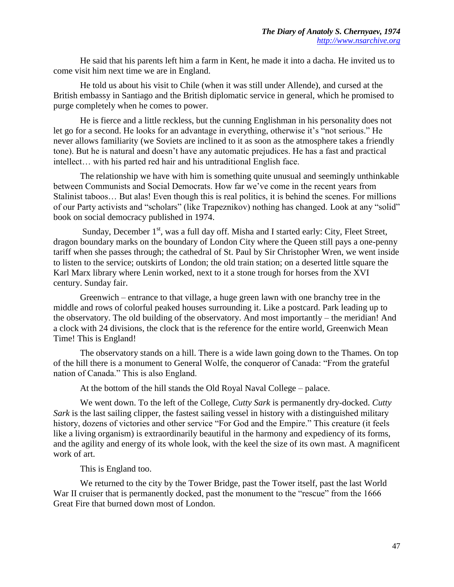He said that his parents left him a farm in Kent, he made it into a dacha. He invited us to come visit him next time we are in England.

He told us about his visit to Chile (when it was still under Allende), and cursed at the British embassy in Santiago and the British diplomatic service in general, which he promised to purge completely when he comes to power.

He is fierce and a little reckless, but the cunning Englishman in his personality does not let go for a second. He looks for an advantage in everything, otherwise it's "not serious." He never allows familiarity (we Soviets are inclined to it as soon as the atmosphere takes a friendly tone). But he is natural and doesn't have any automatic prejudices. He has a fast and practical intellect… with his parted red hair and his untraditional English face.

The relationship we have with him is something quite unusual and seemingly unthinkable between Communists and Social Democrats. How far we've come in the recent years from Stalinist taboos... But alas! Even though this is real politics, it is behind the scenes. For millions of our Party activists and "scholars" (like Trapeznikov) nothing has changed. Look at any "solid" book on social democracy published in 1974.

Sunday, December  $1<sup>st</sup>$ , was a full day off. Misha and I started early: City, Fleet Street, dragon boundary marks on the boundary of London City where the Queen still pays a one-penny tariff when she passes through; the cathedral of St. Paul by Sir Christopher Wren, we went inside to listen to the service; outskirts of London; the old train station; on a deserted little square the Karl Marx library where Lenin worked, next to it a stone trough for horses from the XVI century. Sunday fair.

Greenwich – entrance to that village, a huge green lawn with one branchy tree in the middle and rows of colorful peaked houses surrounding it. Like a postcard. Park leading up to the observatory. The old building of the observatory. And most importantly – the meridian! And a clock with 24 divisions, the clock that is the reference for the entire world, Greenwich Mean Time! This is England!

The observatory stands on a hill. There is a wide lawn going down to the Thames. On top of the hill there is a monument to General Wolfe, the conqueror of Canada: "From the grateful nation of Canada." This is also England.

At the bottom of the hill stands the Old Royal Naval College – palace.

We went down. To the left of the College, *Cutty Sark* is permanently dry-docked. *Cutty Sark* is the last sailing clipper, the fastest sailing vessel in history with a distinguished military history, dozens of victories and other service "For God and the Empire." This creature (it feels like a living organism) is extraordinarily beautiful in the harmony and expediency of its forms, and the agility and energy of its whole look, with the keel the size of its own mast. A magnificent work of art.

This is England too.

We returned to the city by the Tower Bridge, past the Tower itself, past the last World War II cruiser that is permanently docked, past the monument to the "rescue" from the 1666 Great Fire that burned down most of London.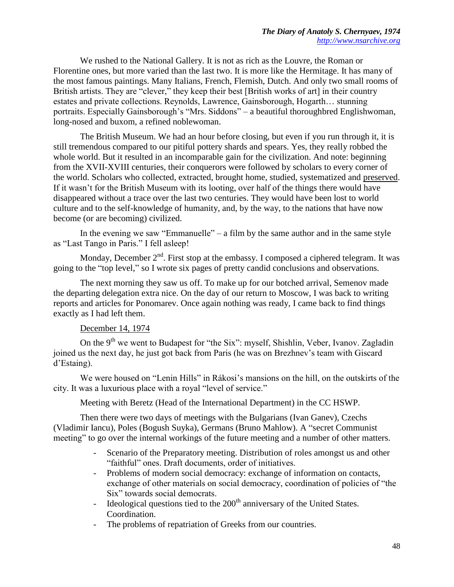We rushed to the National Gallery. It is not as rich as the Louvre, the Roman or Florentine ones, but more varied than the last two. It is more like the Hermitage. It has many of the most famous paintings. Many Italians, French, Flemish, Dutch. And only two small rooms of British artists. They are "clever," they keep their best [British works of art] in their country estates and private collections. Reynolds, Lawrence, Gainsborough, Hogarth… stunning portraits. Especially Gainsborough's "Mrs. Siddons" – a beautiful thoroughbred Englishwoman, long-nosed and buxom, a refined noblewoman.

The British Museum. We had an hour before closing, but even if you run through it, it is still tremendous compared to our pitiful pottery shards and spears. Yes, they really robbed the whole world. But it resulted in an incomparable gain for the civilization. And note: beginning from the XVII-XVIII centuries, their conquerors were followed by scholars to every corner of the world. Scholars who collected, extracted, brought home, studied, systematized and preserved. If it wasn't for the British Museum with its looting, over half of the things there would have disappeared without a trace over the last two centuries. They would have been lost to world culture and to the self-knowledge of humanity, and, by the way, to the nations that have now become (or are becoming) civilized.

In the evening we saw "Emmanuelle" – a film by the same author and in the same style as "Last Tango in Paris." I fell asleep!

Monday, December  $2<sup>nd</sup>$ . First stop at the embassy. I composed a ciphered telegram. It was going to the "top level," so I wrote six pages of pretty candid conclusions and observations.

The next morning they saw us off. To make up for our botched arrival, Semenov made the departing delegation extra nice. On the day of our return to Moscow, I was back to writing reports and articles for Ponomarev. Once again nothing was ready, I came back to find things exactly as I had left them.

## December 14, 1974

On the 9<sup>th</sup> we went to Budapest for "the Six": myself, Shishlin, Veber, Ivanov. Zagladin joined us the next day, he just got back from Paris (he was on Brezhnev's team with Giscard d'Estaing).

We were housed on "Lenin Hills" in Rákosi's mansions on the hill, on the outskirts of the city. It was a luxurious place with a royal "level of service."

Meeting with Beretz (Head of the International Department) in the CC HSWP.

Then there were two days of meetings with the Bulgarians (Ivan Ganev), Czechs (Vladimir Iancu), Poles (Bogush Suyka), Germans (Bruno Mahlow). A "secret Communist meeting" to go over the internal workings of the future meeting and a number of other matters.

- Scenario of the Preparatory meeting. Distribution of roles amongst us and other "faithful" ones. Draft documents, order of initiatives.
- Problems of modern social democracy: exchange of information on contacts, exchange of other materials on social democracy, coordination of policies of "the Six" towards social democrats.
- Ideological questions tied to the  $200<sup>th</sup>$  anniversary of the United States. Coordination.
- The problems of repatriation of Greeks from our countries.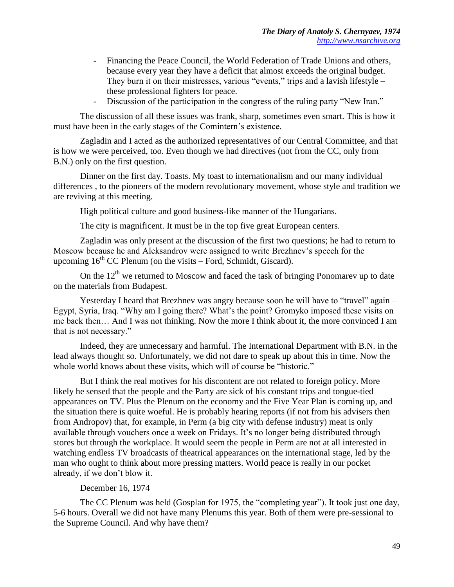- Financing the Peace Council, the World Federation of Trade Unions and others, because every year they have a deficit that almost exceeds the original budget. They burn it on their mistresses, various "events," trips and a lavish lifestyle – these professional fighters for peace.
- Discussion of the participation in the congress of the ruling party "New Iran."

The discussion of all these issues was frank, sharp, sometimes even smart. This is how it must have been in the early stages of the Comintern's existence.

Zagladin and I acted as the authorized representatives of our Central Committee, and that is how we were perceived, too. Even though we had directives (not from the CC, only from B.N.) only on the first question.

Dinner on the first day. Toasts. My toast to internationalism and our many individual differences , to the pioneers of the modern revolutionary movement, whose style and tradition we are reviving at this meeting.

High political culture and good business-like manner of the Hungarians.

The city is magnificent. It must be in the top five great European centers.

Zagladin was only present at the discussion of the first two questions; he had to return to Moscow because he and Aleksandrov were assigned to write Brezhnev's speech for the upcoming  $16<sup>th</sup> CC$  Plenum (on the visits – Ford, Schmidt, Giscard).

On the  $12<sup>th</sup>$  we returned to Moscow and faced the task of bringing Ponomarev up to date on the materials from Budapest.

Yesterday I heard that Brezhnev was angry because soon he will have to "travel" again – Egypt, Syria, Iraq. "Why am I going there? What's the point? Gromyko imposed these visits on me back then… And I was not thinking. Now the more I think about it, the more convinced I am that is not necessary."

Indeed, they are unnecessary and harmful. The International Department with B.N. in the lead always thought so. Unfortunately, we did not dare to speak up about this in time. Now the whole world knows about these visits, which will of course be "historic."

But I think the real motives for his discontent are not related to foreign policy. More likely he sensed that the people and the Party are sick of his constant trips and tongue-tied appearances on TV. Plus the Plenum on the economy and the Five Year Plan is coming up, and the situation there is quite woeful. He is probably hearing reports (if not from his advisers then from Andropov) that, for example, in Perm (a big city with defense industry) meat is only available through vouchers once a week on Fridays. It's no longer being distributed through stores but through the workplace. It would seem the people in Perm are not at all interested in watching endless TV broadcasts of theatrical appearances on the international stage, led by the man who ought to think about more pressing matters. World peace is really in our pocket already, if we don't blow it.

## December 16, 1974

The CC Plenum was held (Gosplan for 1975, the "completing year"). It took just one day, 5-6 hours. Overall we did not have many Plenums this year. Both of them were pre-sessional to the Supreme Council. And why have them?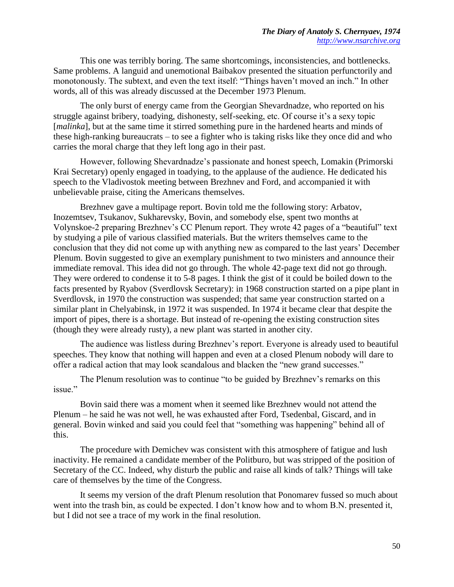This one was terribly boring. The same shortcomings, inconsistencies, and bottlenecks. Same problems. A languid and unemotional Baibakov presented the situation perfunctorily and monotonously. The subtext, and even the text itself: "Things haven't moved an inch." In other words, all of this was already discussed at the December 1973 Plenum.

The only burst of energy came from the Georgian Shevardnadze, who reported on his struggle against bribery, toadying, dishonesty, self-seeking, etc. Of course it's a sexy topic [*malinka*], but at the same time it stirred something pure in the hardened hearts and minds of these high-ranking bureaucrats – to see a fighter who is taking risks like they once did and who carries the moral charge that they left long ago in their past.

However, following Shevardnadze's passionate and honest speech, Lomakin (Primorski Krai Secretary) openly engaged in toadying, to the applause of the audience. He dedicated his speech to the Vladivostok meeting between Brezhnev and Ford, and accompanied it with unbelievable praise, citing the Americans themselves.

Brezhnev gave a multipage report. Bovin told me the following story: Arbatov, Inozemtsev, Tsukanov, Sukharevsky, Bovin, and somebody else, spent two months at Volynskoe-2 preparing Brezhnev's CC Plenum report. They wrote 42 pages of a "beautiful" text by studying a pile of various classified materials. But the writers themselves came to the conclusion that they did not come up with anything new as compared to the last years' December Plenum. Bovin suggested to give an exemplary punishment to two ministers and announce their immediate removal. This idea did not go through. The whole 42-page text did not go through. They were ordered to condense it to 5-8 pages. I think the gist of it could be boiled down to the facts presented by Ryabov (Sverdlovsk Secretary): in 1968 construction started on a pipe plant in Sverdlovsk, in 1970 the construction was suspended; that same year construction started on a similar plant in Chelyabinsk, in 1972 it was suspended. In 1974 it became clear that despite the import of pipes, there is a shortage. But instead of re-opening the existing construction sites (though they were already rusty), a new plant was started in another city.

The audience was listless during Brezhnev's report. Everyone is already used to beautiful speeches. They know that nothing will happen and even at a closed Plenum nobody will dare to offer a radical action that may look scandalous and blacken the "new grand successes."

The Plenum resolution was to continue "to be guided by Brezhnev's remarks on this issue"

Bovin said there was a moment when it seemed like Brezhnev would not attend the Plenum – he said he was not well, he was exhausted after Ford, Tsedenbal, Giscard, and in general. Bovin winked and said you could feel that "something was happening" behind all of this.

The procedure with Demichev was consistent with this atmosphere of fatigue and lush inactivity. He remained a candidate member of the Politburo, but was stripped of the position of Secretary of the CC. Indeed, why disturb the public and raise all kinds of talk? Things will take care of themselves by the time of the Congress.

It seems my version of the draft Plenum resolution that Ponomarev fussed so much about went into the trash bin, as could be expected. I don't know how and to whom B.N. presented it, but I did not see a trace of my work in the final resolution.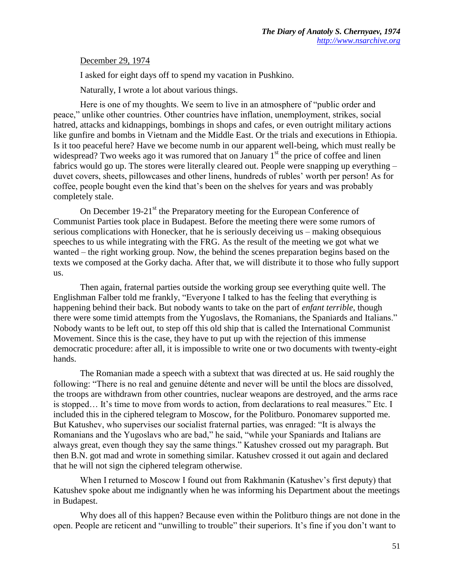December 29, 1974

I asked for eight days off to spend my vacation in Pushkino.

Naturally, I wrote a lot about various things.

Here is one of my thoughts. We seem to live in an atmosphere of "public order and peace," unlike other countries. Other countries have inflation, unemployment, strikes, social hatred, attacks and kidnappings, bombings in shops and cafes, or even outright military actions like gunfire and bombs in Vietnam and the Middle East. Or the trials and executions in Ethiopia. Is it too peaceful here? Have we become numb in our apparent well-being, which must really be widespread? Two weeks ago it was rumored that on January  $1<sup>st</sup>$  the price of coffee and linen fabrics would go up. The stores were literally cleared out. People were snapping up everything – duvet covers, sheets, pillowcases and other linens, hundreds of rubles' worth per person! As for coffee, people bought even the kind that's been on the shelves for years and was probably completely stale.

On December 19-21 $^{\text{st}}$  the Preparatory meeting for the European Conference of Communist Parties took place in Budapest. Before the meeting there were some rumors of serious complications with Honecker, that he is seriously deceiving us – making obsequious speeches to us while integrating with the FRG. As the result of the meeting we got what we wanted – the right working group. Now, the behind the scenes preparation begins based on the texts we composed at the Gorky dacha. After that, we will distribute it to those who fully support us.

Then again, fraternal parties outside the working group see everything quite well. The Englishman Falber told me frankly, "Everyone I talked to has the feeling that everything is happening behind their back. But nobody wants to take on the part of *enfant terrible*, though there were some timid attempts from the Yugoslavs, the Romanians, the Spaniards and Italians." Nobody wants to be left out, to step off this old ship that is called the International Communist Movement. Since this is the case, they have to put up with the rejection of this immense democratic procedure: after all, it is impossible to write one or two documents with twenty-eight hands.

The Romanian made a speech with a subtext that was directed at us. He said roughly the following: "There is no real and genuine détente and never will be until the blocs are dissolved, the troops are withdrawn from other countries, nuclear weapons are destroyed, and the arms race is stopped… It's time to move from words to action, from declarations to real measures." Etc. I included this in the ciphered telegram to Moscow, for the Politburo. Ponomarev supported me. But Katushev, who supervises our socialist fraternal parties, was enraged: "It is always the Romanians and the Yugoslavs who are bad," he said, "while your Spaniards and Italians are always great, even though they say the same things." Katushev crossed out my paragraph. But then B.N. got mad and wrote in something similar. Katushev crossed it out again and declared that he will not sign the ciphered telegram otherwise.

When I returned to Moscow I found out from Rakhmanin (Katushev's first deputy) that Katushev spoke about me indignantly when he was informing his Department about the meetings in Budapest.

Why does all of this happen? Because even within the Politburo things are not done in the open. People are reticent and "unwilling to trouble" their superiors. It's fine if you don't want to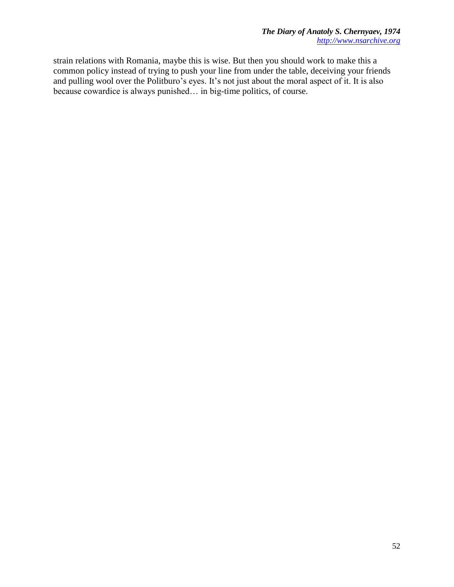strain relations with Romania, maybe this is wise. But then you should work to make this a common policy instead of trying to push your line from under the table, deceiving your friends and pulling wool over the Politburo's eyes. It's not just about the moral aspect of it. It is also because cowardice is always punished… in big-time politics, of course.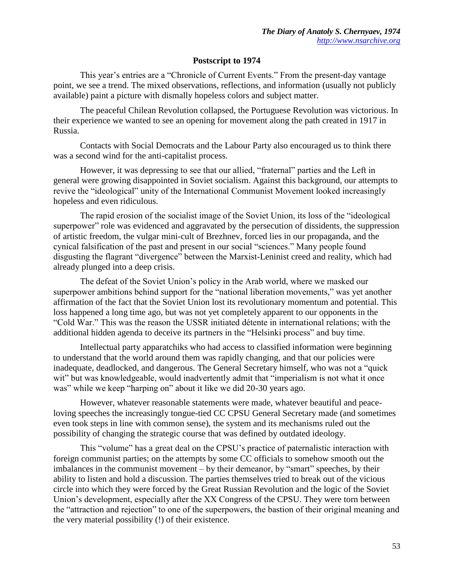## **Postscript to 1974**

This year's entries are a "Chronicle of Current Events." From the present-day vantage point, we see a trend. The mixed observations, reflections, and information (usually not publicly available) paint a picture with dismally hopeless colors and subject matter.

The peaceful Chilean Revolution collapsed, the Portuguese Revolution was victorious. In their experience we wanted to see an opening for movement along the path created in 1917 in Russia.

Contacts with Social Democrats and the Labour Party also encouraged us to think there was a second wind for the anti-capitalist process.

However, it was depressing to see that our allied, "fraternal" parties and the Left in general were growing disappointed in Soviet socialism. Against this background, our attempts to revive the "ideological" unity of the International Communist Movement looked increasingly hopeless and even ridiculous.

The rapid erosion of the socialist image of the Soviet Union, its loss of the "ideological superpower" role was evidenced and aggravated by the persecution of dissidents, the suppression of artistic freedom, the vulgar mini-cult of Brezhnev, forced lies in our propaganda, and the cynical falsification of the past and present in our social "sciences." Many people found disgusting the flagrant "divergence" between the Marxist-Leninist creed and reality, which had already plunged into a deep crisis.

The defeat of the Soviet Union's policy in the Arab world, where we masked our superpower ambitions behind support for the "national liberation movements," was yet another affirmation of the fact that the Soviet Union lost its revolutionary momentum and potential. This loss happened a long time ago, but was not yet completely apparent to our opponents in the "Cold War." This was the reason the USSR initiated détente in international relations; with the additional hidden agenda to deceive its partners in the "Helsinki process" and buy time.

Intellectual party apparatchiks who had access to classified information were beginning to understand that the world around them was rapidly changing, and that our policies were inadequate, deadlocked, and dangerous. The General Secretary himself, who was not a "quick wit" but was knowledgeable, would inadvertently admit that "imperialism is not what it once was" while we keep "harping on" about it like we did 20-30 years ago.

However, whatever reasonable statements were made, whatever beautiful and peaceloving speeches the increasingly tongue-tied CC CPSU General Secretary made (and sometimes even took steps in line with common sense), the system and its mechanisms ruled out the possibility of changing the strategic course that was defined by outdated ideology.

This "volume" has a great deal on the CPSU's practice of paternalistic interaction with foreign communist parties; on the attempts by some CC officials to somehow smooth out the imbalances in the communist movement – by their demeanor, by "smart" speeches, by their ability to listen and hold a discussion. The parties themselves tried to break out of the vicious circle into which they were forced by the Great Russian Revolution and the logic of the Soviet Union's development, especially after the XX Congress of the CPSU. They were torn between the "attraction and rejection" to one of the superpowers, the bastion of their original meaning and the very material possibility (!) of their existence.